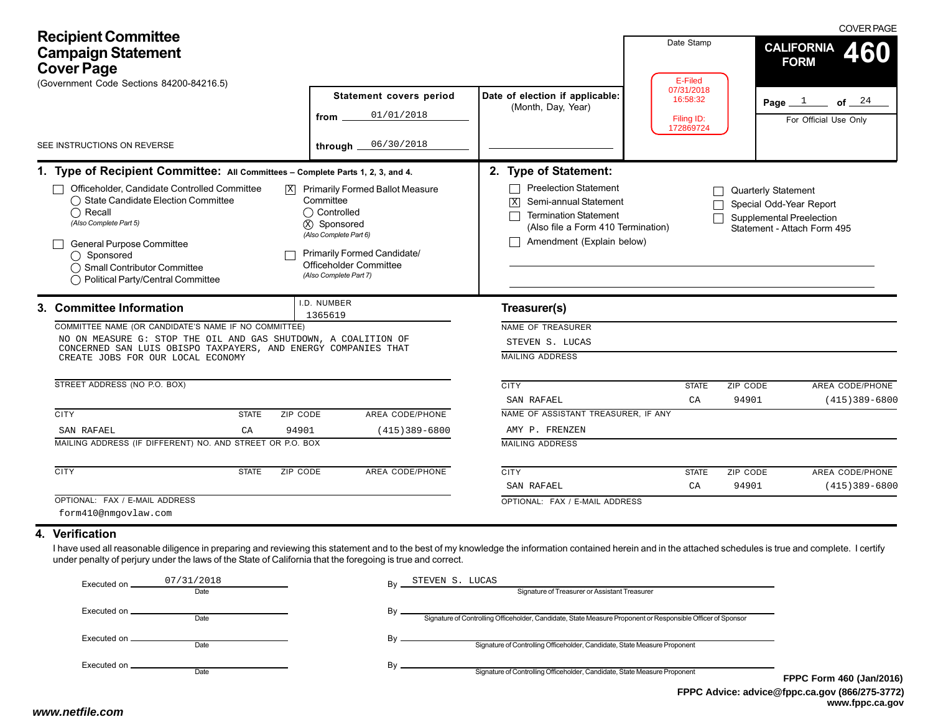| <b>Recipient Committee</b><br><b>Campaign Statement</b><br><b>Cover Page</b><br>(Government Code Sections 84200-84216.5) |                                                                                                                                                                                                                                                                                                                                                              |                                                                                                |                                                                                              | Date Stamp<br>E-Filed<br>07/31/2018                                                                                                                                                                  |                                     | <b>COVER PAGE</b><br><b>CALIFORNIA</b><br>460<br><b>FORM</b>                      |                                              |
|--------------------------------------------------------------------------------------------------------------------------|--------------------------------------------------------------------------------------------------------------------------------------------------------------------------------------------------------------------------------------------------------------------------------------------------------------------------------------------------------------|------------------------------------------------------------------------------------------------|----------------------------------------------------------------------------------------------|------------------------------------------------------------------------------------------------------------------------------------------------------------------------------------------------------|-------------------------------------|-----------------------------------------------------------------------------------|----------------------------------------------|
|                                                                                                                          |                                                                                                                                                                                                                                                                                                                                                              | from                                                                                           | Statement covers period<br>01/01/2018                                                        | Date of election if applicable:<br>(Month, Day, Year)                                                                                                                                                | 16:58:32<br>Filing ID:<br>172869724 |                                                                                   | of $24$<br>Page $1$<br>For Official Use Only |
| SEE INSTRUCTIONS ON REVERSE                                                                                              |                                                                                                                                                                                                                                                                                                                                                              |                                                                                                | 06/30/2018<br>through                                                                        |                                                                                                                                                                                                      |                                     |                                                                                   |                                              |
|                                                                                                                          | 1. Type of Recipient Committee: All Committees - Complete Parts 1, 2, 3, and 4.<br>Officeholder, Candidate Controlled Committee<br>◯ State Candidate Election Committee<br>$\bigcap$ Recall<br>(Also Complete Part 5)<br>General Purpose Committee<br>◯ Sponsored<br>◯ Small Contributor Committee<br>◯ Political Party/Central Committee                    | Committee<br>◯ Controlled<br>(x) Sponsored<br>(Also Complete Part 6)<br>(Also Complete Part 7) | $X$ Primarily Formed Ballot Measure<br>Primarily Formed Candidate/<br>Officeholder Committee | 2. Type of Statement:<br><b>Preelection Statement</b><br>Semi-annual Statement<br>$\vert X \vert$<br><b>Termination Statement</b><br>(Also file a Form 410 Termination)<br>Amendment (Explain below) |                                     | Quarterly Statement<br>Special Odd-Year Report<br><b>Supplemental Preelection</b> | Statement - Attach Form 495                  |
|                                                                                                                          | 3. Committee Information<br>COMMITTEE NAME (OR CANDIDATE'S NAME IF NO COMMITTEE)<br>NO ON MEASURE G: STOP THE OIL AND GAS SHUTDOWN, A COALITION OF<br>CONCERNED SAN LUIS OBISPO TAXPAYERS, AND ENERGY COMPANIES THAT<br>CREATE JOBS FOR OUR LOCAL ECONOMY                                                                                                    | I.D. NUMBER<br>1365619                                                                         |                                                                                              | Treasurer(s)<br>NAME OF TREASURER<br>STEVEN S. LUCAS<br><b>MAILING ADDRESS</b>                                                                                                                       |                                     |                                                                                   |                                              |
|                                                                                                                          | STREET ADDRESS (NO P.O. BOX)                                                                                                                                                                                                                                                                                                                                 |                                                                                                |                                                                                              | <b>CITY</b><br>SAN RAFAEL                                                                                                                                                                            | <b>STATE</b><br>CA                  | ZIP CODE<br>94901                                                                 | AREA CODE/PHONE<br>$(415)389 - 6800$         |
|                                                                                                                          | <b>CITY</b><br><b>STATE</b>                                                                                                                                                                                                                                                                                                                                  | ZIP CODE                                                                                       | AREA CODE/PHONE                                                                              | NAME OF ASSISTANT TREASURER, IF ANY                                                                                                                                                                  |                                     |                                                                                   |                                              |
|                                                                                                                          | SAN RAFAEL<br>CA                                                                                                                                                                                                                                                                                                                                             | 94901                                                                                          | $(415)389 - 6800$                                                                            | AMY P. FRENZEN                                                                                                                                                                                       |                                     |                                                                                   |                                              |
|                                                                                                                          | MAILING ADDRESS (IF DIFFERENT) NO. AND STREET OR P.O. BOX                                                                                                                                                                                                                                                                                                    |                                                                                                |                                                                                              | <b>MAILING ADDRESS</b>                                                                                                                                                                               |                                     |                                                                                   |                                              |
|                                                                                                                          | <b>CITY</b><br><b>STATE</b>                                                                                                                                                                                                                                                                                                                                  | ZIP CODE                                                                                       | <b>AREA CODE/PHONE</b>                                                                       | <b>CITY</b>                                                                                                                                                                                          | <b>STATE</b>                        | ZIP CODE                                                                          | AREA CODE/PHONE                              |
|                                                                                                                          |                                                                                                                                                                                                                                                                                                                                                              |                                                                                                |                                                                                              | SAN RAFAEL                                                                                                                                                                                           | CA                                  | 94901                                                                             | $(415)389 - 6800$                            |
|                                                                                                                          | OPTIONAL: FAX / E-MAIL ADDRESS<br>form410@nmgovlaw.com                                                                                                                                                                                                                                                                                                       |                                                                                                |                                                                                              | OPTIONAL: FAX / E-MAIL ADDRESS                                                                                                                                                                       |                                     |                                                                                   |                                              |
|                                                                                                                          | 4. Verification<br>I have used all reasonable diligence in preparing and reviewing this statement and to the best of my knowledge the information contained herein and in the attached schedules is true and complete. I certify<br>under penalty of perjury under the laws of the State of California that the foregoing is true and correct.<br>07/31/2018 |                                                                                                | STEVEN S. LUCAS                                                                              |                                                                                                                                                                                                      |                                     |                                                                                   |                                              |

| Executed on.    | 07/31/2018<br>Date | Bv | STEVEN S. LUCAS<br>Signature of Treasurer or Assistant Treasurer                                            |           |
|-----------------|--------------------|----|-------------------------------------------------------------------------------------------------------------|-----------|
| Executed on ___ | Date               | Bv | Signature of Controlling Officeholder, Candidate, State Measure Proponent or Responsible Officer of Sponsor |           |
|                 | Date               | Bv | Signature of Controlling Officeholder, Candidate, State Measure Proponent                                   |           |
| Executed on _   | Date               | B٧ | Signature of Controlling Officeholder, Candidate, State Measure Proponent                                   | <b>FP</b> |

**FPPC Advice: advice@fppc.ca.gov (866/275-3772) www.fppc.ca.gov FPPC Form 460 (Jan/2016)**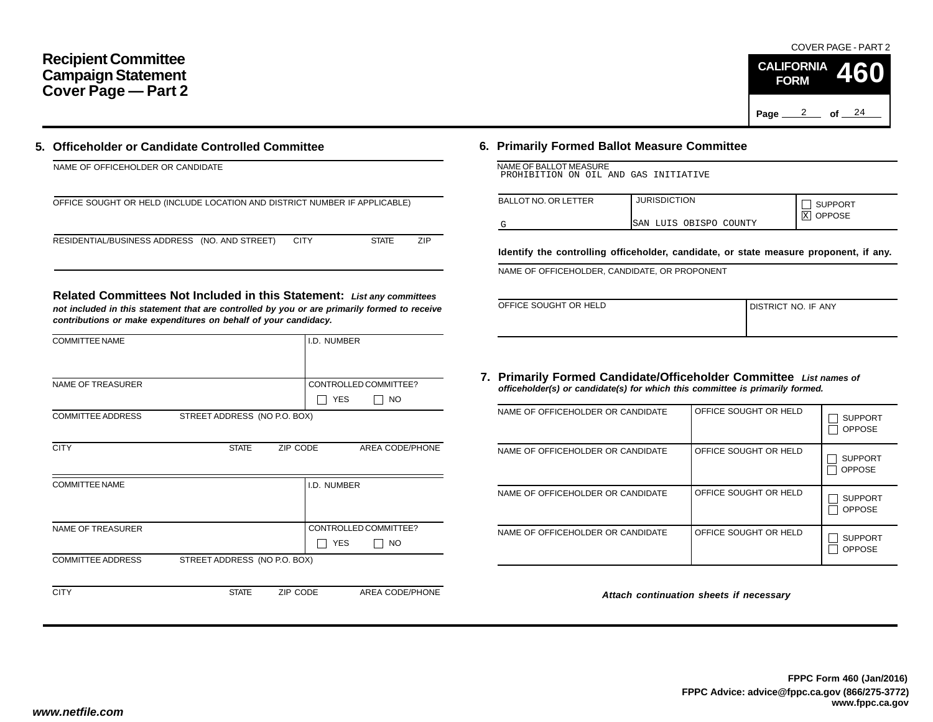# **Recipient Committee Campaign Statement Cover Page — Part 2**

## **5. Officeholder or Candidate Controlled Committee**

| NAME OF OFFICEHOLDER OR CANDIDATE                                          |                     |
|----------------------------------------------------------------------------|---------------------|
| OFFICE SOUGHT OR HELD (INCLUDE LOCATION AND DISTRICT NUMBER IF APPLICABLE) |                     |
| RESIDENTIAL/BUSINESS ADDRESS (NO. AND STREET)<br><b>CITY</b>               | 7IP<br><b>STATE</b> |

**Related Committees Not Included in this Statement:** *List any committees not included in this statement that are controlled by you or are primarily formed to receive contributions or make expenditures on behalf of your candidacy.*

| <b>COMMITTEE NAME</b>    |                              |          | I.D. NUMBER |                       |
|--------------------------|------------------------------|----------|-------------|-----------------------|
|                          |                              |          |             |                       |
| <b>NAME OF TREASURER</b> |                              |          |             | CONTROLLED COMMITTEE? |
|                          |                              |          | <b>YES</b>  | <b>NO</b>             |
| <b>COMMITTEE ADDRESS</b> | STREET ADDRESS (NO P.O. BOX) |          |             |                       |
|                          |                              |          |             |                       |
| <b>CITY</b>              | <b>STATE</b>                 | ZIP CODE |             | AREA CODE/PHONE       |
|                          |                              |          |             |                       |
| <b>COMMITTEE NAME</b>    |                              |          | I.D. NUMBER |                       |
|                          |                              |          |             |                       |
|                          |                              |          |             |                       |
| <b>NAME OF TREASURER</b> |                              |          |             | CONTROLLED COMMITTEE? |
|                          |                              |          | <b>YES</b>  | NO                    |
| <b>COMMITTEE ADDRESS</b> | STREET ADDRESS (NO P.O. BOX) |          |             |                       |
|                          |                              |          |             |                       |
| <b>CITY</b>              | <b>STATE</b>                 | ZIP CODE |             | AREA CODE/PHONE       |

# **6. Primarily Formed Ballot Measure Committee**

| NAME OF BALLOT MEASURE                |  |  |  |
|---------------------------------------|--|--|--|
| PROHIBITION ON OIL AND GAS INITIATIVE |  |  |  |

| <b>BALLOT NO. OR LETTER</b> | <b>JURISDICTION</b>    | <b>SUPPORT</b><br><b>OPPOSE</b> |
|-----------------------------|------------------------|---------------------------------|
|                             | SAN LUIS OBISPO COUNTY | X                               |

**Identify the controlling officeholder, candidate, or state measure proponent, if any.**

NAME OF OFFICEHOLDER, CANDIDATE, OR PROPONENT

| OFFICE SOUGHT OR HELD | DISTRICT NO. IF ANY |
|-----------------------|---------------------|
|                       |                     |

### **7. Primarily Formed Candidate/Officeholder Committee** *List names of officeholder(s) or candidate(s) for which this committee is primarily formed.*

| NAME OF OFFICEHOLDER OR CANDIDATE | OFFICE SOUGHT OR HELD | <b>SUPPORT</b><br><b>OPPOSE</b> |
|-----------------------------------|-----------------------|---------------------------------|
| NAME OF OFFICEHOLDER OR CANDIDATE | OFFICE SOUGHT OR HELD | <b>SUPPORT</b><br><b>OPPOSE</b> |
| NAME OF OFFICEHOLDER OR CANDIDATE | OFFICE SOUGHT OR HELD | <b>SUPPORT</b><br><b>OPPOSE</b> |
| NAME OF OFFICEHOLDER OR CANDIDATE | OFFICE SOUGHT OR HELD | <b>SUPPORT</b><br><b>OPPOSE</b> |

*Attach continuation sheets if necessary*

### COVER PAGE - PART 2

**460**

Page <u>2</u> of 24

**CALIFORNIA FORM**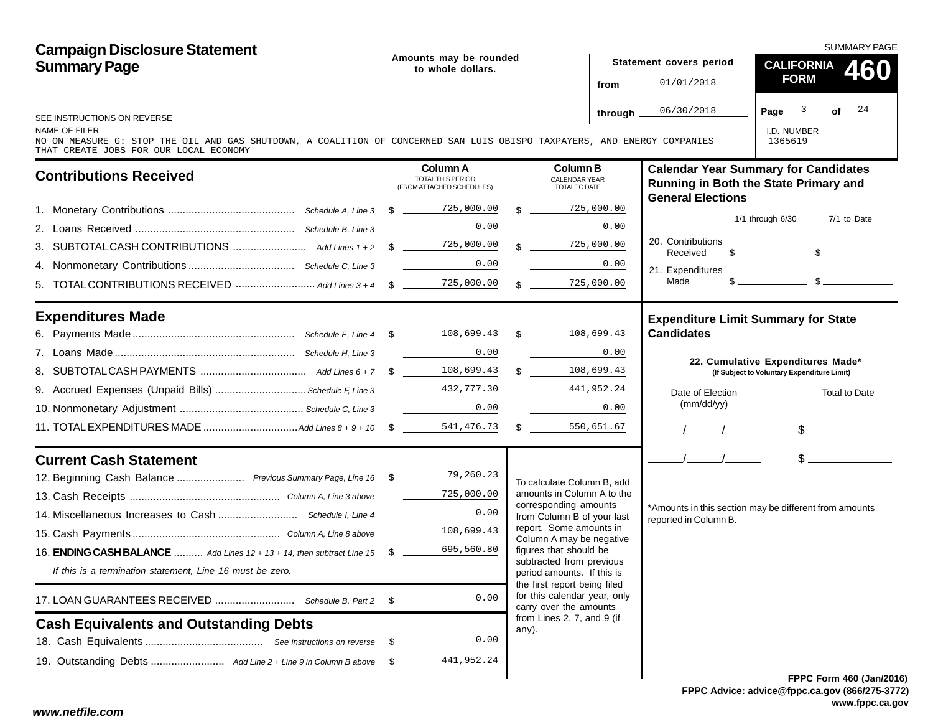**Campaign Disclosure Statement** SUMMARY PAGE**Amounts may be rounded Statement covers period CALIFORNIASummary Page 460to whole dollars.FORM**01/01/2018**from**06/30/2018Page <u>\_\_\_3 \_\_</u>\_ of \_\_\_<u>\_24</u> **through** SEE INSTRUCTIONS ON REVERSENAME OF FILERI.D. NUMBERNO ON MEASURE G: STOP THE OIL AND GAS SHUTDOWN, A COALITION OF CONCERNED SAN LUIS OBISPO TAXPAYERS, AND ENERGY COMPANIES1365619THAT CREATE JOBS FOR OUR LOCAL ECONOMY **Calendar Year Summary for Candidates Column AColumn BContributions Received** TOTAL THIS PERIOD CALENDAR YEAR**Running in Both the State Primary and** (FROM ATTACHED SCHEDULES) TOTAL TO DATE**General Elections** 725,000.00 1. Monetary Contributions ........................................... *Schedule A, Line 3* \$ 725,000.00 $\mathbf{\$}$ 1/1 through 6/30 7/1 to Date 0.00 0.00 2. Loans Received ...................................................... *Schedule B, Line 3* 20. Contributions 725,000.00 3. SUBTOTAL CASH CONTRIBUTIONS ......................... *Add Lines 1 + 2* \$ 725,000.00\$  $\mathbb{S}$   $\mathbb{S}$ **Received** 4. Nonmonetary Contributions .................................... *Schedule C, Line 3* 0.00<u>0</u> 0.00 21. Expenditures  $\mathfrak{F}$   $\mathfrak{F}$ Made 5. TOTAL CONTRIBUTIONS RECEIVED ............................. Add Lines 3 + 4  $$ \scriptstyle \sim 725,000.001$  $\frac{0}{5}$  \$  $\frac{725,000.00}{5}$ **Expenditures Made Expenditure Limit Summary for State Candidates**6. Payments Made ....................................................... *Schedule E, Line 4* \$ 108,699.433 \$ 108,699.43 7. Loans Made ............................................................. *Schedule H, Line 3* 0.00<u>0</u> 0.00 **22. Cumulative Expenditures Made\* (If Subject to Voluntary Expenditure Limit)** 8. SUBTOTAL CASH PAYMENTS .................................... *Add Lines 6 + 7* \$ 108,699.43 $\frac{3}{-}$  \$  $\frac{108,699.43}{-}$ 432,777.309. Accrued Expenses (Unpaid Bills) ...............................*Schedule F, Line 3* 441,952.24 Date of ElectionTotal to Date(mm/dd/yy) 10. Nonmonetary Adjustment .......................................... *Schedule C, Line 3* 0.000.000 0.000 11. TOTAL EXPENDITURES MADE ................................*Add Lines 8 + 9 + 10* \$ 541,476.73 $\mathbb{S}$ 3 \$ 550,651.67 //\$<br>\$  $\mathbb{S}$ **Current Cash Statement**//79,260.2312. Beginning Cash Balance ....................... *Previous Summary Page, Line 16* \$ To calculate Column B, add 725,000.00amounts in Column A to the13. Cash Receipts ................................................... *Column A, Line 3 above* corresponding amounts \*Amounts in this section may be different from amounts 14. Miscellaneous Increases to Cash ........................... *Schedule I, Line 4* 0.00from Column B of your last reported in Column B. report. Some amounts in 15. Cash Payments .................................................. *Column A, Line 8 above* 108,699.43Column A may be negative 695,560.80figures that should be 16. **ENDING CASH BALANCE** .......... *Add Lines 12 + 13 + 14, then subtract Line 15* \$ subtracted from previous *If this is a termination statement, Line 16 must be zero.* period amounts. If this is the first report being filed for this calendar year, only 0.0017. LOAN GUARANTEES RECEIVED ........................... *Schedule B, Part 2* \$ carry over the amounts from Lines 2, 7, and 9 (if **Cash Equivalents and Outstanding Debts** any). 0.0018. Cash Equivalents ........................................ *See instructions on reverse* \$ 19. Outstanding Debts ......................... *Add Line 2 + Line 9 in Column B above* \$ 441,952.24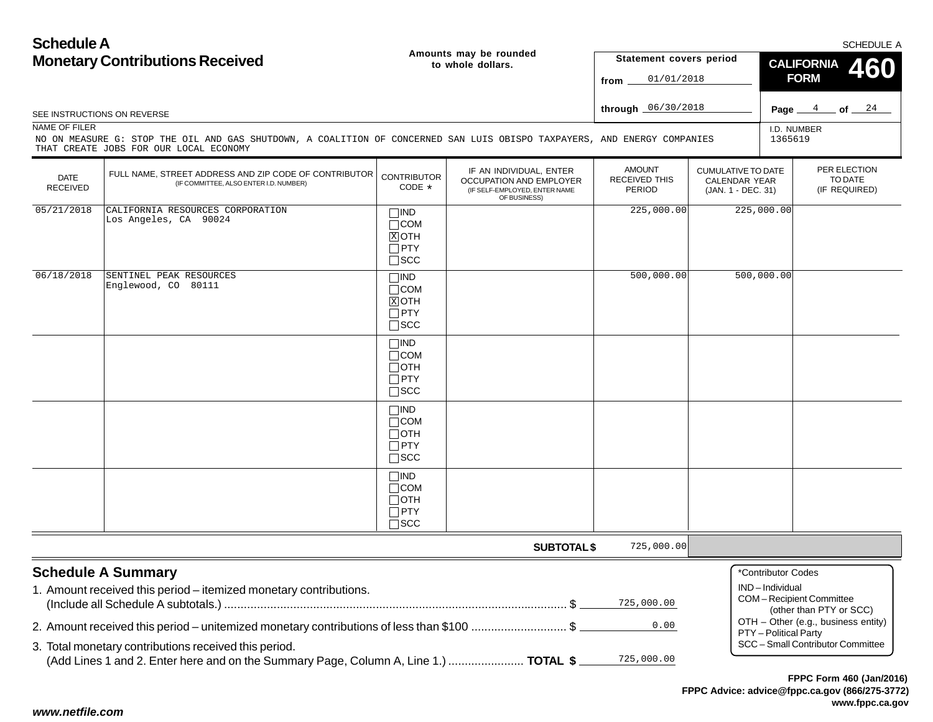| <b>Schedule A</b>              | <b>Monetary Contributions Received</b>                                                                                                                             |                                                                          | Amounts may be rounded<br>to whole dollars.                                                                | Statement covers period                                |                                                                  |                                      | <b>CALIFORNIA</b>                                  | SCHEDULE A<br><b>460</b> |
|--------------------------------|--------------------------------------------------------------------------------------------------------------------------------------------------------------------|--------------------------------------------------------------------------|------------------------------------------------------------------------------------------------------------|--------------------------------------------------------|------------------------------------------------------------------|--------------------------------------|----------------------------------------------------|--------------------------|
|                                |                                                                                                                                                                    |                                                                          |                                                                                                            | 01/01/2018<br>from.                                    |                                                                  |                                      | <b>FORM</b>                                        |                          |
|                                | SEE INSTRUCTIONS ON REVERSE                                                                                                                                        |                                                                          |                                                                                                            | through 06/30/2018                                     |                                                                  | Page _                               | $\frac{4}{ }$                                      | $-$ of $ 24-$            |
| NAME OF FILER                  | NO ON MEASURE G: STOP THE OIL AND GAS SHUTDOWN, A COALITION OF CONCERNED SAN LUIS OBISPO TAXPAYERS, AND ENERGY COMPANIES<br>THAT CREATE JOBS FOR OUR LOCAL ECONOMY |                                                                          |                                                                                                            |                                                        |                                                                  | I.D. NUMBER<br>1365619               |                                                    |                          |
| <b>DATE</b><br><b>RECEIVED</b> | FULL NAME, STREET ADDRESS AND ZIP CODE OF CONTRIBUTOR<br>(IF COMMITTEE, ALSO ENTER I.D. NUMBER)                                                                    | <b>CONTRIBUTOR</b><br>CODE *                                             | IF AN INDIVIDUAL, ENTER<br><b>OCCUPATION AND EMPLOYER</b><br>(IF SELF-EMPLOYED, ENTER NAME<br>OF BUSINESS) | <b>AMOUNT</b><br><b>RECEIVED THIS</b><br><b>PERIOD</b> | <b>CUMULATIVE TO DATE</b><br>CALENDAR YEAR<br>(JAN. 1 - DEC. 31) |                                      | PER ELECTION<br>TO DATE<br>(IF REQUIRED)           |                          |
| 05/21/2018                     | CALIFORNIA RESOURCES CORPORATION<br>Los Angeles, CA 90024                                                                                                          | $\Box$ IND<br>$\Box$ COM<br>$X$ OTH<br>$\Box$ PTY<br>$\Box$ SCC          |                                                                                                            | 225,000.00                                             |                                                                  | 225,000.00                           |                                                    |                          |
| 06/18/2018                     | SENTINEL PEAK RESOURCES<br>Englewood, CO 80111                                                                                                                     | $\Box$ IND<br>$\Box$ COM<br>$X$ OTH<br>$\Box$ PTY<br>$\square$ SCC       |                                                                                                            | 500,000.00                                             |                                                                  | 500,000.00                           |                                                    |                          |
|                                |                                                                                                                                                                    | $\square$ IND<br>$\Box$ COM<br>$\Box$ oth<br>$\Box$ PTY<br>$\square$ SCC |                                                                                                            |                                                        |                                                                  |                                      |                                                    |                          |
|                                |                                                                                                                                                                    | $\Box$ IND<br>$\Box$ COM<br>$\Box$ OTH<br>$\Box$ PTY<br>$\square$ SCC    |                                                                                                            |                                                        |                                                                  |                                      |                                                    |                          |
|                                |                                                                                                                                                                    | $\Box$ IND<br>$\Box$ COM<br>$\Box$ OTH<br>$\Box$ PTY<br>$\Box$ SCC       |                                                                                                            |                                                        |                                                                  |                                      |                                                    |                          |
|                                |                                                                                                                                                                    |                                                                          | <b>SUBTOTAL \$</b>                                                                                         | 725,000.00                                             |                                                                  |                                      |                                                    |                          |
|                                | <b>Schedule A Summary</b><br>1. Amount received this period - itemized monetary contributions.                                                                     |                                                                          |                                                                                                            | 725,000.00                                             |                                                                  | *Contributor Codes<br>IND-Individual | COM-Recipient Committee<br>(other than PTY or SCC) |                          |
|                                | 2. Amount received this period – unitemized monetary contributions of less than \$100 \$                                                                           |                                                                          |                                                                                                            | 0.00                                                   |                                                                  | PTY - Political Party                | OTH - Other (e.g., business entity)                |                          |
|                                | 3. Total monetary contributions received this period.<br>(Add Lines 1 and 2. Enter here and on the Summary Page, Column A, Line 1.)  TOTAL \$                      |                                                                          |                                                                                                            | 725,000.00                                             |                                                                  |                                      | SCC - Small Contributor Committee                  |                          |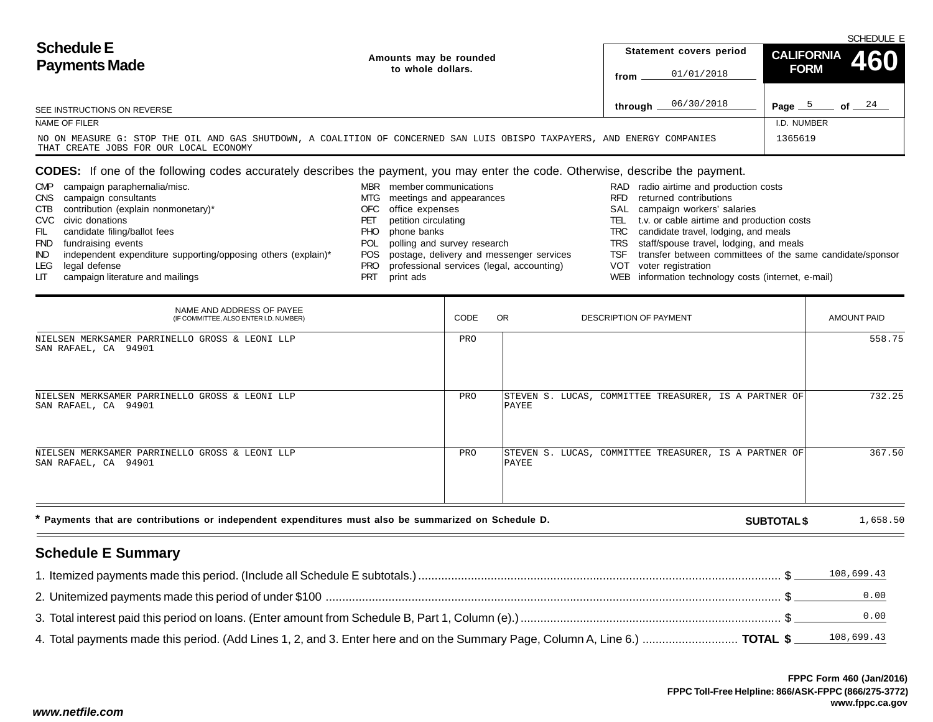| <b>Schedule E</b>                                                                                                                                                  | Amounts may be rounded |         | Statement covers period | CALIFORNIA 460 | SCHEDULE E |
|--------------------------------------------------------------------------------------------------------------------------------------------------------------------|------------------------|---------|-------------------------|----------------|------------|
| <b>Payments Made</b>                                                                                                                                               | to whole dollars.      | from    | 01/01/2018              | <b>FORM</b>    |            |
| SEE INSTRUCTIONS ON REVERSE                                                                                                                                        |                        | through | 06/30/2018              | Page           | of $24$    |
| NAME OF FILER                                                                                                                                                      |                        |         |                         | I.D. NUMBER    |            |
| NO ON MEASURE G: STOP THE OIL AND GAS SHUTDOWN, A COALITION OF CONCERNED SAN LUIS OBISPO TAXPAYERS, AND ENERGY COMPANIES<br>THAT CREATE JOBS FOR OUR LOCAL ECONOMY |                        |         |                         | 1365619        |            |

# **CODES:** If one of the following codes accurately describes the payment, you may enter the code. Otherwise, describe the payment.

| transfer between committees of the same candidate/sponsor |
|-----------------------------------------------------------|
|                                                           |
|                                                           |
|                                                           |

| NAME AND ADDRESS OF PAYEE<br>(IF COMMITTEE, ALSO ENTER I.D. NUMBER)    | CODE | OR.<br>DESCRIPTION OF PAYMENT                                  | AMOUNT PAID |
|------------------------------------------------------------------------|------|----------------------------------------------------------------|-------------|
| NIELSEN MERKSAMER PARRINELLO GROSS & LEONI LLP<br>SAN RAFAEL, CA 94901 | PRO  |                                                                | 558.75      |
| NIELSEN MERKSAMER PARRINELLO GROSS & LEONI LLP<br>SAN RAFAEL, CA 94901 | PRO  | STEVEN S. LUCAS, COMMITTEE TREASURER, IS A PARTNER OF<br>PAYEE | 732.25      |
| NIELSEN MERKSAMER PARRINELLO GROSS & LEONI LLP<br>SAN RAFAEL, CA 94901 | PRO  | STEVEN S. LUCAS, COMMITTEE TREASURER, IS A PARTNER OF<br>PAYEE | 367.50      |

**\* Payments that are contributions or independent expenditures must also be summarized on Schedule D.**

**SUBTOTAL \$** 1,658.50

# **Schedule E Summary**

|                                                                                                                                                | 108,699.43 |
|------------------------------------------------------------------------------------------------------------------------------------------------|------------|
|                                                                                                                                                |            |
|                                                                                                                                                | 0.00       |
| 4. Total payments made this period. (Add Lines 1, 2, and 3. Enter here and on the Summary Page, Column A, Line 6.)  TOTAL \$ ______ 108,699.43 |            |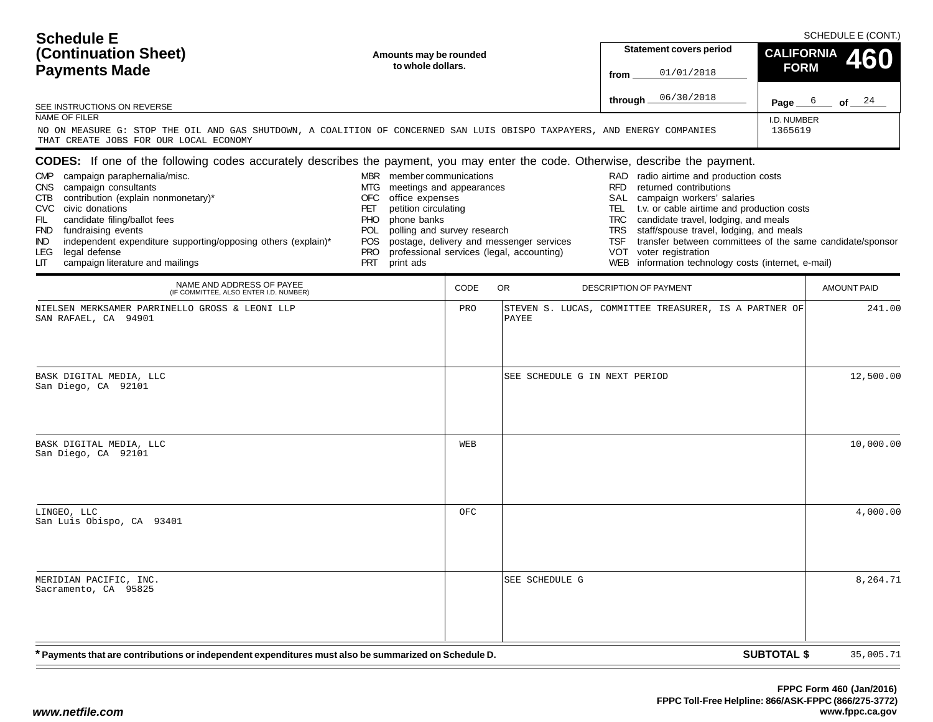| <b>Schedule E</b><br>(Continuation Sheet)<br><b>Payments Made</b><br>SEE INSTRUCTIONS ON REVERSE<br>NAME OF FILER<br>NO ON MEASURE G: STOP THE OIL AND GAS SHUTDOWN, A COALITION OF CONCERNED SAN LUIS OBISPO TAXPAYERS, AND ENERGY COMPANIES<br>THAT CREATE JOBS FOR OUR LOCAL ECONOMY                                                                                                                                                                                                 | Amounts may be rounded<br>to whole dollars.                                                                                                                                                                                                            |      |                                                                                       | Statement covers period<br>01/01/2018<br>from<br>06/30/2018<br>through $\_$                                                                                                                                                                                                                                                                                                                                                    | <b>CALIFORNIA</b><br><b>FORM</b><br>Page $6$<br>I.D. NUMBER<br>1365619 | SCHEDULE E (CONT.)<br>460<br>of 24 |
|-----------------------------------------------------------------------------------------------------------------------------------------------------------------------------------------------------------------------------------------------------------------------------------------------------------------------------------------------------------------------------------------------------------------------------------------------------------------------------------------|--------------------------------------------------------------------------------------------------------------------------------------------------------------------------------------------------------------------------------------------------------|------|---------------------------------------------------------------------------------------|--------------------------------------------------------------------------------------------------------------------------------------------------------------------------------------------------------------------------------------------------------------------------------------------------------------------------------------------------------------------------------------------------------------------------------|------------------------------------------------------------------------|------------------------------------|
| <b>CODES:</b> If one of the following codes accurately describes the payment, you may enter the code. Otherwise, describe the payment.<br>CMP campaign paraphernalia/misc.<br>CNS campaign consultants<br>contribution (explain nonmonetary)*<br>CTB<br>CVC civic donations<br>candidate filing/ballot fees<br>FIL<br>FND fundraising events<br>independent expenditure supporting/opposing others (explain)*<br>IND<br>legal defense<br>LEG<br>LIТ<br>campaign literature and mailings | MBR member communications<br>meetings and appearances<br>MTG<br><b>OFC</b><br>office expenses<br>petition circulating<br>PET<br><b>PHO</b><br>phone banks<br>polling and survey research<br>POL<br><b>POS</b><br><b>PRO</b><br><b>PRT</b><br>print ads |      | postage, delivery and messenger services<br>professional services (legal, accounting) | RAD radio airtime and production costs<br><b>RFD</b><br>returned contributions<br>SAL campaign workers' salaries<br>t.v. or cable airtime and production costs<br>TEL<br>TRC<br>candidate travel, lodging, and meals<br>staff/spouse travel, lodging, and meals<br>TRS<br>transfer between committees of the same candidate/sponsor<br>TSF<br>VOT<br>voter registration<br>WEB information technology costs (internet, e-mail) |                                                                        |                                    |
| NAME AND ADDRESS OF PAYEE<br>(IF COMMITTEE, ALSO ENTER I.D. NUMBER)                                                                                                                                                                                                                                                                                                                                                                                                                     |                                                                                                                                                                                                                                                        | CODE | <b>OR</b>                                                                             | DESCRIPTION OF PAYMENT                                                                                                                                                                                                                                                                                                                                                                                                         |                                                                        | <b>AMOUNT PAID</b>                 |
| NIELSEN MERKSAMER PARRINELLO GROSS & LEONI LLP<br>SAN RAFAEL, CA 94901                                                                                                                                                                                                                                                                                                                                                                                                                  |                                                                                                                                                                                                                                                        | PRO  | PAYEE                                                                                 | STEVEN S. LUCAS, COMMITTEE TREASURER, IS A PARTNER OF                                                                                                                                                                                                                                                                                                                                                                          |                                                                        | 241.00                             |
| BASK DIGITAL MEDIA, LLC<br>San Diego, CA 92101                                                                                                                                                                                                                                                                                                                                                                                                                                          |                                                                                                                                                                                                                                                        |      | SEE SCHEDULE G IN NEXT PERIOD                                                         |                                                                                                                                                                                                                                                                                                                                                                                                                                |                                                                        | 12,500.00                          |
| BASK DIGITAL MEDIA, LLC<br>San Diego, CA 92101                                                                                                                                                                                                                                                                                                                                                                                                                                          |                                                                                                                                                                                                                                                        | WEB  |                                                                                       |                                                                                                                                                                                                                                                                                                                                                                                                                                |                                                                        | 10,000.00                          |
| LINGEO, LLC<br>San Luis Obispo, CA 93401                                                                                                                                                                                                                                                                                                                                                                                                                                                |                                                                                                                                                                                                                                                        | OFC  |                                                                                       |                                                                                                                                                                                                                                                                                                                                                                                                                                |                                                                        | 4,000.00                           |
| MERIDIAN PACIFIC, INC.<br>Sacramento, CA 95825                                                                                                                                                                                                                                                                                                                                                                                                                                          |                                                                                                                                                                                                                                                        |      | SEE SCHEDULE G                                                                        |                                                                                                                                                                                                                                                                                                                                                                                                                                |                                                                        | 8,264.71                           |
| <sup>'</sup> Payments that are contributions or independent expenditures must also be summarized on Schedule D.                                                                                                                                                                                                                                                                                                                                                                         |                                                                                                                                                                                                                                                        |      |                                                                                       |                                                                                                                                                                                                                                                                                                                                                                                                                                | <b>SUBTOTAL \$</b>                                                     | 35,005.71                          |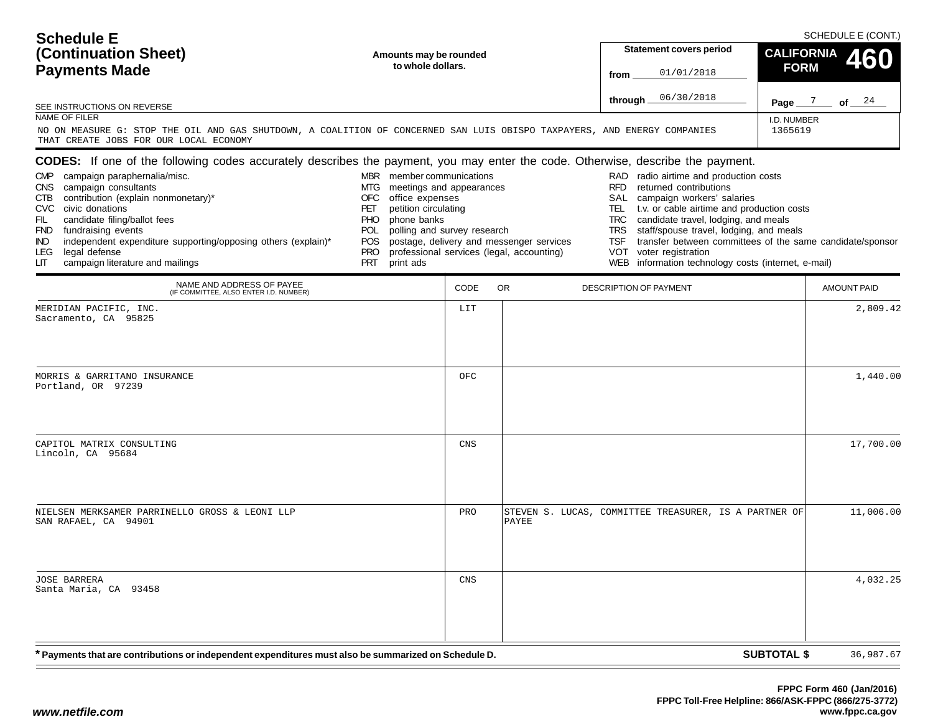| <b>Schedule E</b><br>(Continuation Sheet)<br><b>Payments Made</b><br>SEE INSTRUCTIONS ON REVERSE<br>NAME OF FILER<br>THAT CREATE JOBS FOR OUR LOCAL ECONOMY                                                                                                                                                                                                                                                                                                                                                        | Amounts may be rounded<br>to whole dollars.<br>NO ON MEASURE G: STOP THE OIL AND GAS SHUTDOWN, A COALITION OF CONCERNED SAN LUIS OBISPO TAXPAYERS, AND ENERGY COMPANIES                                                      |            |                                                                                       | <b>Statement covers period</b><br>01/01/2018<br>from<br>06/30/2018<br>through $\_$                                                                                                                                                                                                   | <b>CALIFORNIA</b><br><b>FORM</b><br>I.D. NUMBER<br>1365619                                                                                         | SCHEDULE E (CONT.)<br>460<br>Page $\frac{7}{2}$ of $\frac{24}{4}$ |
|--------------------------------------------------------------------------------------------------------------------------------------------------------------------------------------------------------------------------------------------------------------------------------------------------------------------------------------------------------------------------------------------------------------------------------------------------------------------------------------------------------------------|------------------------------------------------------------------------------------------------------------------------------------------------------------------------------------------------------------------------------|------------|---------------------------------------------------------------------------------------|--------------------------------------------------------------------------------------------------------------------------------------------------------------------------------------------------------------------------------------------------------------------------------------|----------------------------------------------------------------------------------------------------------------------------------------------------|-------------------------------------------------------------------|
| <b>CODES:</b> If one of the following codes accurately describes the payment, you may enter the code. Otherwise, describe the payment.<br>campaign paraphernalia/misc.<br><b>CMP</b><br>campaign consultants<br>CNS.<br>contribution (explain nonmonetary)*<br>CTB.<br>CVC civic donations<br>candidate filing/ballot fees<br>FIL<br>fundraising events<br><b>FND</b><br>independent expenditure supporting/opposing others (explain)*<br>IND.<br>LEG.<br>legal defense<br>campaign literature and mailings<br>LIТ | MBR member communications<br>MTG<br>meetings and appearances<br>office expenses<br>OFC<br>petition circulating<br>PET<br>phone banks<br>PHO.<br>polling and survey research<br>POL<br>POS.<br><b>PRO</b><br>PRT<br>print ads |            | postage, delivery and messenger services<br>professional services (legal, accounting) | RAD radio airtime and production costs<br><b>RFD</b><br>returned contributions<br>SAL campaign workers' salaries<br>TEL.<br>candidate travel, lodging, and meals<br>TRC<br><b>TRS</b><br><b>TSF</b><br>VOT voter registration<br>WEB information technology costs (internet, e-mail) | t.v. or cable airtime and production costs<br>staff/spouse travel, lodging, and meals<br>transfer between committees of the same candidate/sponsor |                                                                   |
| NAME AND ADDRESS OF PAYEE<br>(IF COMMITTEE, ALSO ENTER I.D. NUMBER)                                                                                                                                                                                                                                                                                                                                                                                                                                                |                                                                                                                                                                                                                              | CODE       | <b>OR</b>                                                                             | DESCRIPTION OF PAYMENT                                                                                                                                                                                                                                                               |                                                                                                                                                    | <b>AMOUNT PAID</b>                                                |
| MERIDIAN PACIFIC, INC.<br>Sacramento, CA 95825<br>MORRIS & GARRITANO INSURANCE<br>Portland, OR 97239                                                                                                                                                                                                                                                                                                                                                                                                               |                                                                                                                                                                                                                              | LIT<br>OFC |                                                                                       |                                                                                                                                                                                                                                                                                      |                                                                                                                                                    | 2,809.42<br>1,440.00                                              |
| CAPITOL MATRIX CONSULTING<br>Lincoln, CA 95684                                                                                                                                                                                                                                                                                                                                                                                                                                                                     |                                                                                                                                                                                                                              | CNS        |                                                                                       |                                                                                                                                                                                                                                                                                      |                                                                                                                                                    | 17,700.00                                                         |
| NIELSEN MERKSAMER PARRINELLO GROSS & LEONI LLP<br>SAN RAFAEL, CA 94901                                                                                                                                                                                                                                                                                                                                                                                                                                             |                                                                                                                                                                                                                              | PRO        | PAYEE                                                                                 | STEVEN S. LUCAS, COMMITTEE TREASURER, IS A PARTNER OF                                                                                                                                                                                                                                |                                                                                                                                                    | 11,006.00                                                         |
| <b>JOSE BARRERA</b><br>Santa Maria, CA 93458                                                                                                                                                                                                                                                                                                                                                                                                                                                                       |                                                                                                                                                                                                                              | CNS        |                                                                                       |                                                                                                                                                                                                                                                                                      |                                                                                                                                                    | 4,032.25                                                          |
| Fayments that are contributions or independent expenditures must also be summarized on Schedule D.                                                                                                                                                                                                                                                                                                                                                                                                                 |                                                                                                                                                                                                                              |            |                                                                                       |                                                                                                                                                                                                                                                                                      | <b>SUBTOTAL \$</b>                                                                                                                                 | 36,987.67                                                         |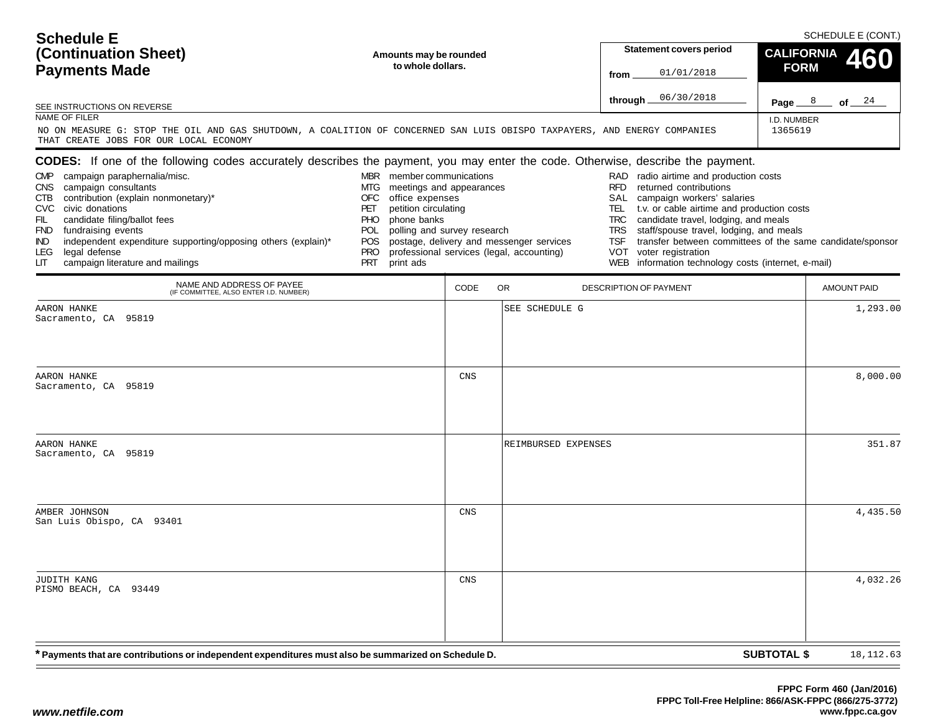| <b>Schedule E</b>                            |                                                                                                                                 | SCHEDULE E (CONT.)                                   |                               |  |  |  |
|----------------------------------------------|---------------------------------------------------------------------------------------------------------------------------------|------------------------------------------------------|-------------------------------|--|--|--|
| (Continuation Sheet)<br><b>Payments Made</b> | Amounts may be rounded<br>to whole dollars.                                                                                     | <b>Statement covers period</b><br>01/01/2018<br>from | CALIFORNIA 460<br><b>FORM</b> |  |  |  |
| SEE INSTRUCTIONS ON REVERSE                  |                                                                                                                                 | through $06/30/2018$                                 | of $24$<br>Page $8$           |  |  |  |
| NAME OF FILER                                |                                                                                                                                 |                                                      | I.D. NUMBER                   |  |  |  |
| THAT CREATE JOBS FOR OUR LOCAL ECONOMY       | NO ON MEASURE G: STOP THE OIL AND GAS SHUTDOWN, A COALITION OF CONCERNED SAN LUIS OBISPO TAXPAYERS, AND ENERGY COMPANIES        |                                                      | 1365619                       |  |  |  |
|                                              | CODES: If one of the following codes accurately describes the payment, you may enter the code. Otherwise, describe the payment. |                                                      |                               |  |  |  |
| <b>CMP</b><br>campaign paraphernalia/misc.   | member communications<br><b>MBR</b>                                                                                             | RAD radio airtime and production costs               |                               |  |  |  |
| CNS campaign consultants                     | meetings and appearances<br>MTG.                                                                                                | returned contributions<br>RFD.                       |                               |  |  |  |
| CTB contribution (explain nonmonetary)*      | office expenses<br>OFC                                                                                                          | campaign workers' salaries<br>SAL                    |                               |  |  |  |
| CVC civic donations                          | PET<br>petition circulating                                                                                                     | t.v. or cable airtime and production costs<br>TEL    |                               |  |  |  |
| candidate filing/ballot fees<br>FIL          | <b>PHO</b><br>phone banks                                                                                                       | TRC candidate travel, lodging, and meals             |                               |  |  |  |

POL polling and survey research

POS postage, delivery and messenger services

PRT print ads

- PRO professional services (legal, accounting)
- IND independent expenditure supporting/opposing others (explain)\* LEG legal defense LIT campaign literature and mailings

FND fundraising events

- TSF transfer between committees of the same candidate/sponsor
- VOT voter registration
	- WEB information technology costs (internet, e-mail)

TRS staff/spouse travel, lodging, and meals

| NAME AND ADDRESS OF PAYEE<br>(IF COMMITTEE, ALSO ENTER I.D. NUMBER)                                  | CODE | OR.<br>DESCRIPTION OF PAYMENT | <b>AMOUNT PAID</b> |
|------------------------------------------------------------------------------------------------------|------|-------------------------------|--------------------|
| AARON HANKE<br>Sacramento, CA 95819                                                                  |      | SEE SCHEDULE G                | 1,293.00           |
| AARON HANKE<br>Sacramento, CA 95819                                                                  | CNS  |                               | 8,000.00           |
| AARON HANKE<br>Sacramento, CA 95819                                                                  |      | REIMBURSED EXPENSES           | 351.87             |
| AMBER JOHNSON<br>San Luis Obispo, CA 93401                                                           | CNS  |                               | 4,435.50           |
| JUDITH KANG<br>PISMO BEACH, CA 93449                                                                 | CNS  |                               | 4,032.26           |
| * Payments that are contributions or independent expenditures must also be summarized on Schedule D. |      | <b>SUBTOTAL \$</b>            | 18, 112.63         |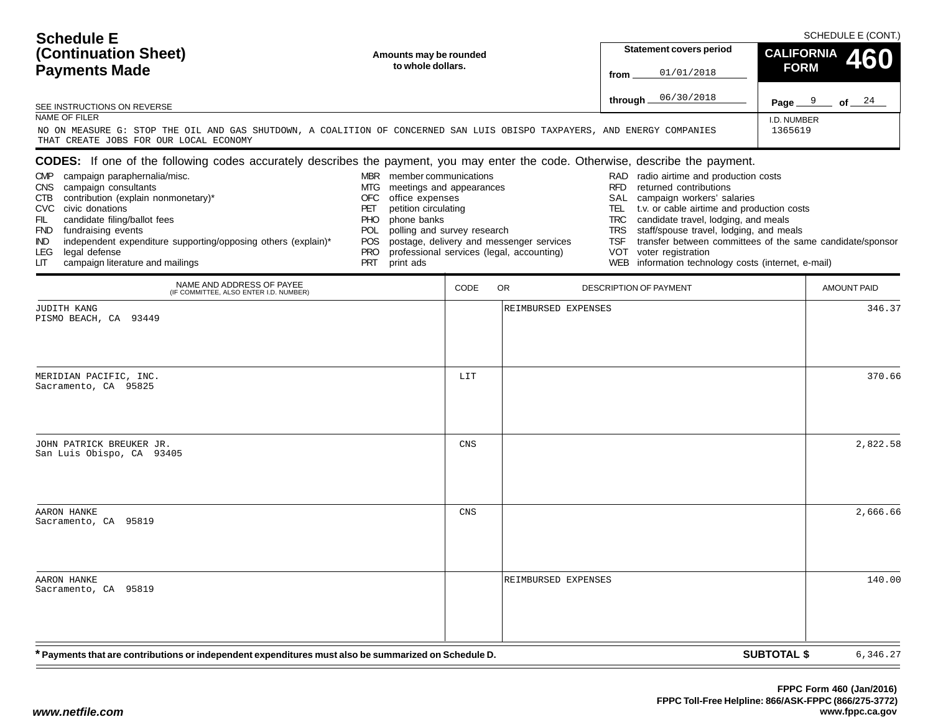| <b>Schedule E</b>                       |                                                                                                                                 | SCHEDULE E (CONT.)                                 |                  |  |  |  |
|-----------------------------------------|---------------------------------------------------------------------------------------------------------------------------------|----------------------------------------------------|------------------|--|--|--|
| (Continuation Sheet)                    | Amounts may be rounded                                                                                                          | <b>Statement covers period</b>                     | CALIFORNIA 460   |  |  |  |
| <b>Payments Made</b>                    | to whole dollars.                                                                                                               | 01/01/2018<br>from                                 | <b>FORM</b>      |  |  |  |
| SEE INSTRUCTIONS ON REVERSE             |                                                                                                                                 | 06/30/2018<br>through __                           | Page $9$ of $24$ |  |  |  |
| NAME OF FILER                           |                                                                                                                                 |                                                    | I.D. NUMBER      |  |  |  |
| THAT CREATE JOBS FOR OUR LOCAL ECONOMY  | NO ON MEASURE G: STOP THE OIL AND GAS SHUTDOWN, A COALITION OF CONCERNED SAN LUIS OBISPO TAXPAYERS, AND ENERGY COMPANIES        |                                                    | 1365619          |  |  |  |
|                                         | CODES: If one of the following codes accurately describes the payment, you may enter the code. Otherwise, describe the payment. |                                                    |                  |  |  |  |
| CMP campaign paraphernalia/misc.        | member communications<br><b>MBR</b>                                                                                             | RAD radio airtime and production costs             |                  |  |  |  |
| CNS campaign consultants                | meetings and appearances<br>MTG.                                                                                                | returned contributions<br><b>RFD</b>               |                  |  |  |  |
| CTB contribution (explain nonmonetary)* | OFC<br>office expenses                                                                                                          | campaign workers' salaries<br>SAL.                 |                  |  |  |  |
| CVC civic donations                     | PET<br>petition circulating                                                                                                     | t.v. or cable airtime and production costs<br>TEL. |                  |  |  |  |

PHO phone banks

print ads

POL polling and survey research

- POS postage, delivery and messenger services<br>PRO professional services (legal, accounting)
- PRO professional services (legal, accounting)

LIT campaign literature and mailings

IND independent expenditure supporting/opposing others (explain)\*

FIL candidate filing/ballot fees<br>FND fundraising events fundraising events

legal defense

CODE OR DESCRIPTION OF PAYMENT **AMOUNT PAID SUBTOTAL \$** NAME AND ADDRESS OF PAYEE (IF COMMITTEE, ALSO ENTER I.D. NUMBER) **\* Payments that are contributions or independent expenditures must also be summarized on Schedule D.** JUDITH KANG PISMO BEACH, CA 93449REIMBURSED EXPENSES $\sim$  346.37 MERIDIAN PACIFIC, INC. Sacramento, CA 95825LITT | 370.66 JOHN PATRICK BREUKER JR. San Luis Obispo, CA 93405CNS $\mathbf{S}$  2,822.58 AARON HANKE Sacramento, CA 95819CNS $S \qquad \qquad$  2,666.66 AARON HANKE Sacramento, CA 95819REIMBURSED EXPENSES $\sim$  140.00 6,346.27

TRC candidate travel, lodging, and meals<br>TRS staff/spouse travel, lodging, and me staff/spouse travel, lodging, and meals

WEB information technology costs (internet, e-mail)

VOT voter registration

TSF transfer between committees of the same candidate/sponsor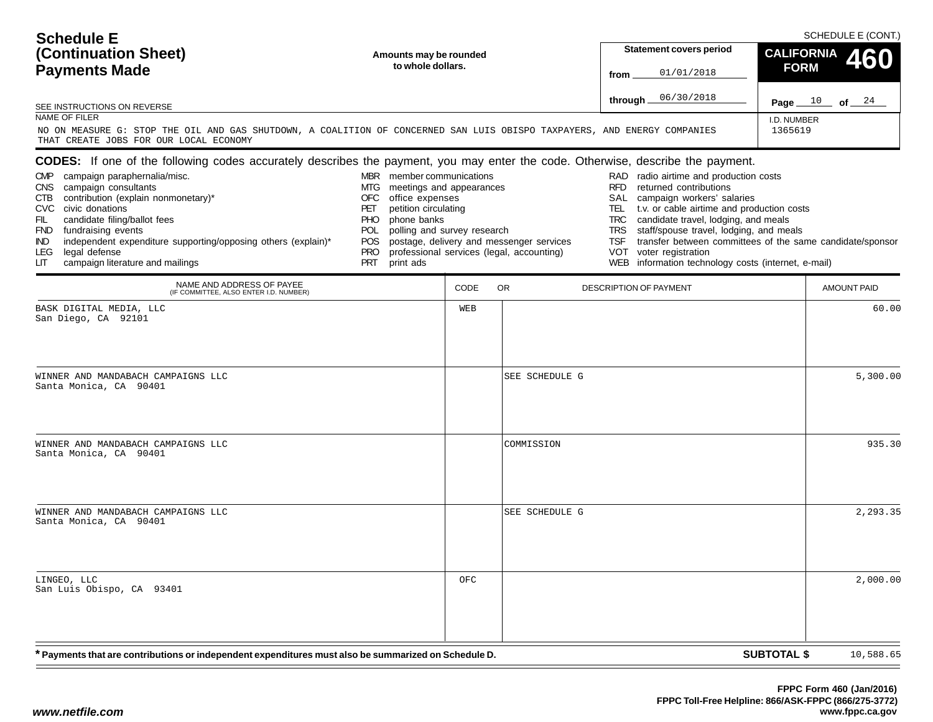| (Continuation Sheet)<br><b>Payments Made</b>                                                                                                                                                                                                                                                                                                                                                                                                                                                                                            | Amounts may be rounded<br>to whole dollars.                                                                                                                                                                              |      | <b>Statement covers period</b><br>01/01/2018<br>from                                  | <b>FORM</b>                                                                                                                                                                                                                                                                                                                                                                                                                                                       | CALIFORNIA 460         |                    |
|-----------------------------------------------------------------------------------------------------------------------------------------------------------------------------------------------------------------------------------------------------------------------------------------------------------------------------------------------------------------------------------------------------------------------------------------------------------------------------------------------------------------------------------------|--------------------------------------------------------------------------------------------------------------------------------------------------------------------------------------------------------------------------|------|---------------------------------------------------------------------------------------|-------------------------------------------------------------------------------------------------------------------------------------------------------------------------------------------------------------------------------------------------------------------------------------------------------------------------------------------------------------------------------------------------------------------------------------------------------------------|------------------------|--------------------|
| SEE INSTRUCTIONS ON REVERSE<br>NAME OF FILER<br>NO ON MEASURE G: STOP THE OIL AND GAS SHUTDOWN, A COALITION OF CONCERNED SAN LUIS OBISPO TAXPAYERS, AND ENERGY COMPANIES                                                                                                                                                                                                                                                                                                                                                                |                                                                                                                                                                                                                          |      |                                                                                       | 06/30/2018<br>through.                                                                                                                                                                                                                                                                                                                                                                                                                                            | I.D. NUMBER<br>1365619 | Page $10$ of $24$  |
| THAT CREATE JOBS FOR OUR LOCAL ECONOMY<br>CODES: If one of the following codes accurately describes the payment, you may enter the code. Otherwise, describe the payment.<br>CMP campaign paraphernalia/misc.<br>CNS campaign consultants<br>contribution (explain nonmonetary)*<br>CTB.<br>CVC civic donations<br>candidate filing/ballot fees<br>FIL<br><b>FND</b><br>fundraising events<br>independent expenditure supporting/opposing others (explain)*<br>IND.<br>legal defense<br>LEG.<br>LIТ<br>campaign literature and mailings | MBR member communications<br>MTG meetings and appearances<br>office expenses<br>OFC<br>petition circulating<br>PET<br>phone banks<br>PHO<br>polling and survey research<br>POL.<br>POS<br><b>PRO</b><br>PRT<br>print ads |      | postage, delivery and messenger services<br>professional services (legal, accounting) | RAD radio airtime and production costs<br><b>RFD</b><br>returned contributions<br>campaign workers' salaries<br>SAL<br>t.v. or cable airtime and production costs<br>TEL.<br><b>TRC</b><br>candidate travel, lodging, and meals<br><b>TRS</b><br>staff/spouse travel, lodging, and meals<br>transfer between committees of the same candidate/sponsor<br><b>TSF</b><br><b>VOT</b><br>voter registration<br>information technology costs (internet, e-mail)<br>WEB |                        |                    |
| NAME AND ADDRESS OF PAYEE<br>(IF COMMITTEE, ALSO ENTER I.D. NUMBER)                                                                                                                                                                                                                                                                                                                                                                                                                                                                     |                                                                                                                                                                                                                          | CODE | <b>OR</b>                                                                             | DESCRIPTION OF PAYMENT                                                                                                                                                                                                                                                                                                                                                                                                                                            |                        | <b>AMOUNT PAID</b> |
| BASK DIGITAL MEDIA, LLC<br>San Diego, CA 92101                                                                                                                                                                                                                                                                                                                                                                                                                                                                                          |                                                                                                                                                                                                                          | WEB  |                                                                                       |                                                                                                                                                                                                                                                                                                                                                                                                                                                                   |                        | 60.00              |
| WINNER AND MANDABACH CAMPAIGNS LLC<br>Santa Monica, CA 90401                                                                                                                                                                                                                                                                                                                                                                                                                                                                            |                                                                                                                                                                                                                          |      | SEE SCHEDULE G                                                                        |                                                                                                                                                                                                                                                                                                                                                                                                                                                                   |                        | 5,300.00           |
| WINNER AND MANDABACH CAMPAIGNS LLC<br>Santa Monica, CA 90401                                                                                                                                                                                                                                                                                                                                                                                                                                                                            |                                                                                                                                                                                                                          |      | COMMISSION                                                                            |                                                                                                                                                                                                                                                                                                                                                                                                                                                                   |                        | 935.30             |
| WINNER AND MANDABACH CAMPAIGNS LLC<br>Santa Monica, CA 90401                                                                                                                                                                                                                                                                                                                                                                                                                                                                            |                                                                                                                                                                                                                          |      | SEE SCHEDULE G                                                                        |                                                                                                                                                                                                                                                                                                                                                                                                                                                                   |                        | 2,293.35           |
| LINGEO, LLC<br>San Luis Obispo, CA 93401                                                                                                                                                                                                                                                                                                                                                                                                                                                                                                |                                                                                                                                                                                                                          | OFC  |                                                                                       |                                                                                                                                                                                                                                                                                                                                                                                                                                                                   |                        | 2,000.00           |
| * Payments that are contributions or independent expenditures must also be summarized on Schedule D.                                                                                                                                                                                                                                                                                                                                                                                                                                    |                                                                                                                                                                                                                          |      |                                                                                       |                                                                                                                                                                                                                                                                                                                                                                                                                                                                   | <b>SUBTOTAL \$</b>     | 10,588.65          |

 $\Gamma$ 

SCHEDULE E (CONT.)

**Schedule E**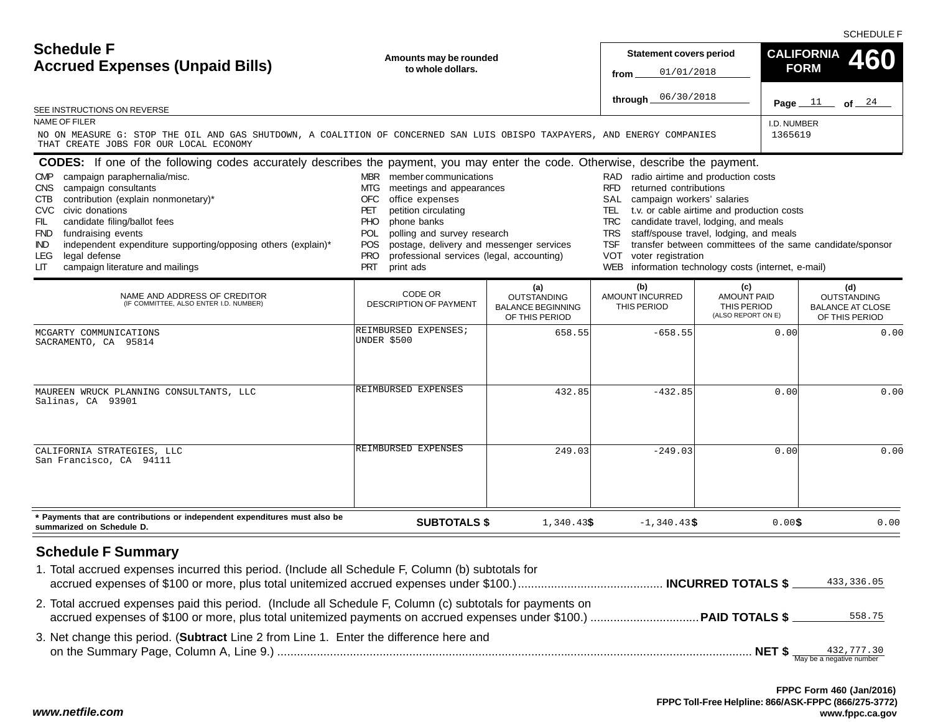SCHEDULE F

| <b>Schedule F</b><br><b>Accrued Expenses (Unpaid Bills)</b><br>SEE INSTRUCTIONS ON REVERSE                                                                                                                                                                                                                                                                                                                                                                                                                          | Amounts may be rounded<br>to whole dollars.                                                                                                                                                                                                                                                                                                            |                                                                         | <b>Statement covers period</b><br>01/01/2018<br>from<br>06/30/2018<br>through _                                                                                                                          |                                                                                                                                                                                                                                               | <b>CALIFORNIA</b><br>460<br><b>FORM</b><br>Page $11$<br>of $24$        |
|---------------------------------------------------------------------------------------------------------------------------------------------------------------------------------------------------------------------------------------------------------------------------------------------------------------------------------------------------------------------------------------------------------------------------------------------------------------------------------------------------------------------|--------------------------------------------------------------------------------------------------------------------------------------------------------------------------------------------------------------------------------------------------------------------------------------------------------------------------------------------------------|-------------------------------------------------------------------------|----------------------------------------------------------------------------------------------------------------------------------------------------------------------------------------------------------|-----------------------------------------------------------------------------------------------------------------------------------------------------------------------------------------------------------------------------------------------|------------------------------------------------------------------------|
| <b>NAME OF FILER</b><br>NO ON MEASURE G: STOP THE OIL AND GAS SHUTDOWN, A COALITION OF CONCERNED SAN LUIS OBISPO TAXPAYERS, AND ENERGY COMPANIES<br>THAT CREATE JOBS FOR OUR LOCAL ECONOMY                                                                                                                                                                                                                                                                                                                          |                                                                                                                                                                                                                                                                                                                                                        |                                                                         |                                                                                                                                                                                                          | I.D. NUMBER<br>1365619                                                                                                                                                                                                                        |                                                                        |
| <b>CODES:</b> If one of the following codes accurately describes the payment, you may enter the code. Otherwise, describe the payment.<br>campaign paraphernalia/misc.<br><b>CMP</b><br>campaign consultants<br>CNS.<br>contribution (explain nonmonetary)*<br>CTB<br>civic donations<br>CVC.<br>FIL<br>candidate filing/ballot fees<br>fundraising events<br>FND<br>independent expenditure supporting/opposing others (explain)*<br><b>IND</b><br>legal defense<br>LEG<br>campaign literature and mailings<br>LIТ | MBR member communications<br>MTG<br>meetings and appearances<br><b>OFC</b><br>office expenses<br>petition circulating<br>PET<br><b>PHO</b><br>phone banks<br>polling and survey research<br><b>POL</b><br>postage, delivery and messenger services<br><b>POS</b><br><b>PRO</b><br>professional services (legal, accounting)<br><b>PRT</b><br>print ads |                                                                         | RAD radio airtime and production costs<br><b>RFD</b><br>returned contributions<br>SAL<br>campaign workers' salaries<br>TEL<br>TRC<br><b>TRS</b><br><b>TSF</b><br><b>VOT</b><br>voter registration<br>WEB | t.v. or cable airtime and production costs<br>candidate travel, lodging, and meals<br>staff/spouse travel, lodging, and meals<br>transfer between committees of the same candidate/sponsor<br>information technology costs (internet, e-mail) |                                                                        |
| NAME AND ADDRESS OF CREDITOR<br>(IF COMMITTEE, ALSO ENTER I.D. NUMBER)                                                                                                                                                                                                                                                                                                                                                                                                                                              | CODE OR<br><b>DESCRIPTION OF PAYMENT</b>                                                                                                                                                                                                                                                                                                               | (a)<br><b>OUTSTANDING</b><br><b>BALANCE BEGINNING</b><br>OF THIS PERIOD | (b)<br>AMOUNT INCURRED<br>THIS PERIOD                                                                                                                                                                    | (c)<br><b>AMOUNT PAID</b><br>THIS PERIOD<br>(ALSO REPORT ON E)                                                                                                                                                                                | (d)<br><b>OUTSTANDING</b><br><b>BALANCE AT CLOSE</b><br>OF THIS PERIOD |
| MCGARTY COMMUNICATIONS<br>SACRAMENTO, CA 95814                                                                                                                                                                                                                                                                                                                                                                                                                                                                      | REIMBURSED EXPENSES;<br>UNDER \$500                                                                                                                                                                                                                                                                                                                    | 658.55                                                                  | $-658.55$                                                                                                                                                                                                | 0.00                                                                                                                                                                                                                                          | 0.00                                                                   |
| MAUREEN WRUCK PLANNING CONSULTANTS, LLC<br>Salinas, CA 93901                                                                                                                                                                                                                                                                                                                                                                                                                                                        | REIMBURSED EXPENSES                                                                                                                                                                                                                                                                                                                                    | 432.85                                                                  | $-432.85$                                                                                                                                                                                                | 0.00                                                                                                                                                                                                                                          | 0.00                                                                   |
| CALIFORNIA STRATEGIES, LLC<br>San Francisco, CA 94111                                                                                                                                                                                                                                                                                                                                                                                                                                                               | REIMBURSED EXPENSES                                                                                                                                                                                                                                                                                                                                    | 249.03                                                                  | $-249.03$                                                                                                                                                                                                | 0.00                                                                                                                                                                                                                                          | 0.00                                                                   |
| * Payments that are contributions or independent expenditures must also be<br>summarized on Schedule D.                                                                                                                                                                                                                                                                                                                                                                                                             | <b>SUBTOTALS \$</b>                                                                                                                                                                                                                                                                                                                                    | 1,340.43\$                                                              | $-1,340.43$ \$                                                                                                                                                                                           | 0.00\$                                                                                                                                                                                                                                        | 0.00                                                                   |
| <b>Schedule F Summary</b><br>1. Total accrued expenses incurred this period. (Include all Schedule F, Column (b) subtotals for<br>2. Total accrued expenses paid this period. (Include all Schedule F, Column (c) subtotals for payments on                                                                                                                                                                                                                                                                         |                                                                                                                                                                                                                                                                                                                                                        |                                                                         |                                                                                                                                                                                                          |                                                                                                                                                                                                                                               | 433,336.05<br>558.75                                                   |
| 3. Net change this period. (Subtract Line 2 from Line 1. Enter the difference here and                                                                                                                                                                                                                                                                                                                                                                                                                              |                                                                                                                                                                                                                                                                                                                                                        |                                                                         |                                                                                                                                                                                                          |                                                                                                                                                                                                                                               |                                                                        |

*www.netfile.com*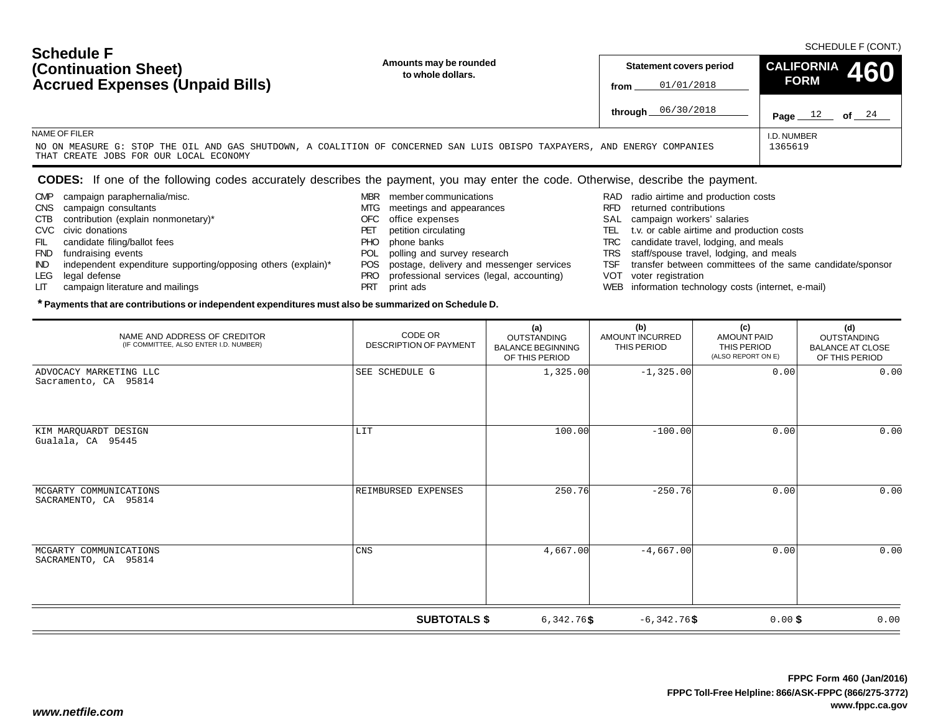| <b>Scriedule F</b><br>(Continuation Sheet)                                                                                                                                          | Amounts may be rounded<br>to whole dollars. |      | <b>Statement covers period</b> | CALIFORNIA 460 |          |
|-------------------------------------------------------------------------------------------------------------------------------------------------------------------------------------|---------------------------------------------|------|--------------------------------|----------------|----------|
| <b>Accrued Expenses (Unpaid Bills)</b>                                                                                                                                              |                                             | from | 01/01/2018                     | <b>FORM</b>    |          |
|                                                                                                                                                                                     |                                             |      | through 06/30/2018             | Page<br>ᅩ᠘     | 24<br>οf |
| NAME OF FILER<br>NO ON MEASURE G: STOP THE OIL AND GAS SHUTDOWN, A COALITION OF CONCERNED SAN LUIS OBISPO TAXPAYERS, AND ENERGY COMPANIES<br>THAT CREATE JOBS FOR OUR LOCAL ECONOMY | I.D. NUMBER<br>1365619                      |      |                                |                |          |

### **CODES:** If one of the following codes accurately describes the payment, you may enter the code. Otherwise, describe the payment.

CMP campaign paraphernalia/misc.

CTB contribution (explain nonmonetary)\*

IND independent expenditure supporting/opposing others (explain)\*

CNS campaign consultants

 FIL candidate filing/ballot fees FND fundraising events

LIT campaign literature and mailings

CVC civic donations

LEG legal defense

**Schedule F**

- MBR member communications
	- MTG meetings and appearances
	- OFC office expenses
	- PET petition circulating
	- PHO phone banks
	- POL polling and survey research
	- POS postage, delivery and messenger services
	- PRO professional services (legal, accounting)
	- PRT print ads

- RAD radio airtime and production costs
- RFD returned contributions
- SAL campaign workers' salaries
- TEL t.v. or cable airtime and production costs
- TRC candidate travel, lodging, and meals
- TRS staff/spouse travel, lodging, and meals
- TSF transfer between committees of the same candidate/sponsor
- VOT voter registration
- WEB information technology costs (internet, e-mail)

| NAME AND ADDRESS OF CREDITOR<br>(IF COMMITTEE, ALSO ENTER I.D. NUMBER)      | CODE OR<br><b>DESCRIPTION OF PAYMENT</b> | (a)<br>OUTSTANDING<br><b>BALANCE BEGINNING</b><br>OF THIS PERIOD | (b)<br><b>AMOUNT INCURRED</b><br>THIS PERIOD | (c)<br><b>AMOUNT PAID</b><br>THIS PERIOD<br>(ALSO REPORT ON E) | (d)<br>OUTSTANDING<br><b>BALANCE AT CLOSE</b><br>OF THIS PERIOD |  |  |
|-----------------------------------------------------------------------------|------------------------------------------|------------------------------------------------------------------|----------------------------------------------|----------------------------------------------------------------|-----------------------------------------------------------------|--|--|
| ADVOCACY MARKETING LLC<br>Sacramento, CA 95814                              | SEE SCHEDULE G                           | 1,325.00                                                         | $-1, 325.00$                                 | 0.00                                                           | 0.00                                                            |  |  |
| KIM MARQUARDT DESIGN<br>Gualala, CA 95445                                   | LIT                                      | 100.00                                                           | $-100.00$                                    | 0.00                                                           | 0.00                                                            |  |  |
| MCGARTY COMMUNICATIONS<br>SACRAMENTO, CA 95814                              | REIMBURSED EXPENSES                      | 250.76                                                           | $-250.76$                                    | 0.00                                                           | 0.00                                                            |  |  |
| MCGARTY COMMUNICATIONS<br>SACRAMENTO, CA 95814                              | CNS                                      | 4,667.00                                                         | $-4,667.00$                                  | 0.00                                                           | 0.00                                                            |  |  |
| <b>SUBTOTALS \$</b><br>$0.00$ \$<br>0.00<br>$6,342.76$ \$<br>$-6,342.76$ \$ |                                          |                                                                  |                                              |                                                                |                                                                 |  |  |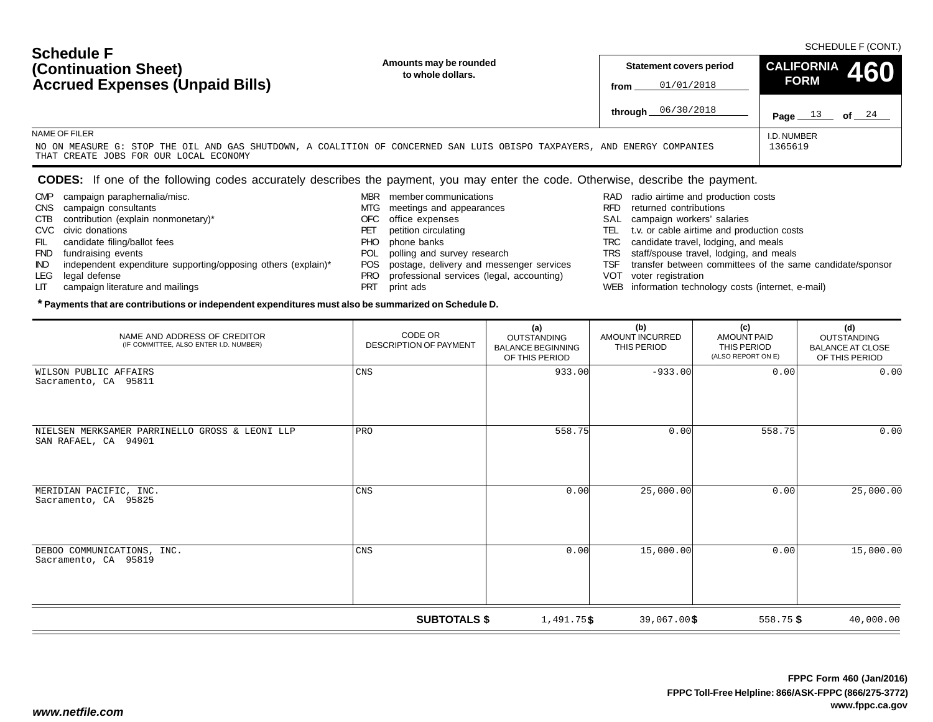| <b>Screage F</b><br>(Continuation Sheet)                                                                                                                           | Amounts may be rounded<br>to whole dollars. |      | <b>Statement covers period</b> | $\left  \begin{array}{cc} \text{CALIFORNIA} & 460 \end{array} \right $<br><b>FORM</b> |         |
|--------------------------------------------------------------------------------------------------------------------------------------------------------------------|---------------------------------------------|------|--------------------------------|---------------------------------------------------------------------------------------|---------|
| <b>Accrued Expenses (Unpaid Bills)</b>                                                                                                                             |                                             | from | 01/01/2018                     |                                                                                       |         |
|                                                                                                                                                                    |                                             |      | through 06/30/2018             | 13<br>Page                                                                            | of $24$ |
| NAME OF FILER                                                                                                                                                      |                                             |      |                                | I.D. NUMBER                                                                           |         |
| NO ON MEASURE G: STOP THE OIL AND GAS SHUTDOWN, A COALITION OF CONCERNED SAN LUIS OBISPO TAXPAYERS, AND ENERGY COMPANIES<br>THAT CREATE JOBS FOR OUR LOCAL ECONOMY |                                             |      |                                | 1365619                                                                               |         |

### **CODES:** If one of the following codes accurately describes the payment, you may enter the code. Otherwise, describe the payment.

- CMP campaign paraphernalia/misc.
- CNS campaign consultants
- CTB contribution (explain nonmonetary)\*
- CVC civic donations

**Schedule F**

- FIL candidate filing/ballot fees
- FND fundraising events
- IND independent expenditure supporting/opposing others (explain)\*

- LEG legal defense
- LIT campaign literature and mailings
- MBR member communications
- MTG meetings and appearances
- OFC office expenses
- PET petition circulating
- PHO phone banks
- POL polling and survey research
- POS postage, delivery and messenger services
- PRO professional services (legal, accounting)
- PRT print ads
- RAD radio airtime and production costs
- RFD returned contributions
- SAL campaign workers' salaries
- TEL t.v. or cable airtime and production costs
- TRC candidate travel, lodging, and meals
- TRS staff/spouse travel, lodging, and meals
- TSF transfer between committees of the same candidate/sponsor
- VOT voter registration
- WEB information technology costs (internet, e-mail)

| NAME AND ADDRESS OF CREDITOR<br>(IF COMMITTEE, ALSO ENTER I.D. NUMBER)       | CODE OR<br><b>DESCRIPTION OF PAYMENT</b> | (a)<br>OUTSTANDING<br><b>BALANCE BEGINNING</b><br>OF THIS PERIOD | (b)<br>AMOUNT INCURRED<br>THIS PERIOD | (c)<br><b>AMOUNT PAID</b><br>THIS PERIOD<br>(ALSO REPORT ON E) | (d)<br>OUTSTANDING<br><b>BALANCE AT CLOSE</b><br>OF THIS PERIOD |  |
|------------------------------------------------------------------------------|------------------------------------------|------------------------------------------------------------------|---------------------------------------|----------------------------------------------------------------|-----------------------------------------------------------------|--|
| WILSON PUBLIC AFFAIRS<br>Sacramento, CA 95811                                | CNS                                      | 933.00                                                           | $-933.00$                             | 0.00                                                           | 0.00                                                            |  |
| NIELSEN MERKSAMER PARRINELLO GROSS & LEONI LLP<br>SAN RAFAEL, CA 94901       | PRO                                      | 558.75                                                           | 0.00                                  | 558.75                                                         | 0.00                                                            |  |
| MERIDIAN PACIFIC, INC.<br>Sacramento, CA 95825                               | CNS                                      | 0.00                                                             | 25,000.00                             | 0.00                                                           | 25,000.00                                                       |  |
| DEBOO COMMUNICATIONS, INC.<br>Sacramento, CA 95819                           | CNS                                      | 0.00                                                             | 15,000.00                             | 0.00                                                           | 15,000.00                                                       |  |
| <b>SUBTOTALS \$</b><br>39,067.00\$<br>$558.75$ \$<br>1,491.75\$<br>40,000.00 |                                          |                                                                  |                                       |                                                                |                                                                 |  |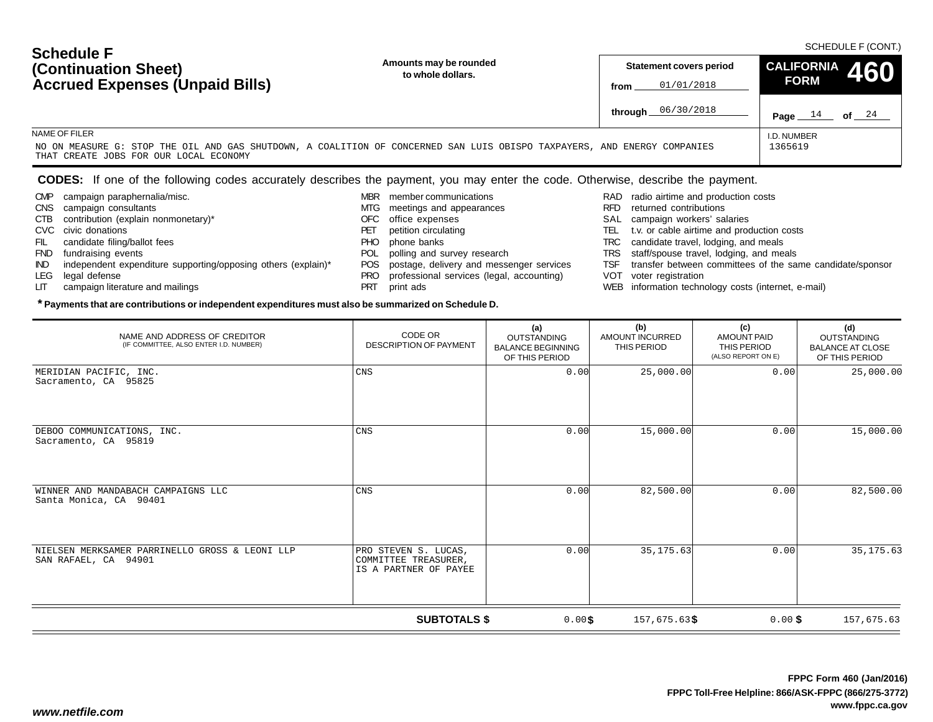| <b>Schedule F</b><br>(Continuation Sheet)<br><b>Accrued Expenses (Unpaid Bills)</b>                                                                                | Amounts may be rounded<br>to whole dollars. | Statement covers period<br>01/01/2018<br>from | CALIFORNIA 460<br><b>FORM</b> | SCHEDULE F (CONT.) |
|--------------------------------------------------------------------------------------------------------------------------------------------------------------------|---------------------------------------------|-----------------------------------------------|-------------------------------|--------------------|
|                                                                                                                                                                    |                                             | through 06/30/2018                            | 14<br>Page                    | 24<br>of           |
| NAME OF FILER                                                                                                                                                      |                                             |                                               | I.D. NUMBER                   |                    |
| NO ON MEASURE G: STOP THE OIL AND GAS SHUTDOWN, A COALITION OF CONCERNED SAN LUIS OBISPO TAXPAYERS, AND ENERGY COMPANIES<br>THAT CREATE JOBS FOR OUR LOCAL ECONOMY |                                             |                                               | 1365619                       |                    |

### **CODES:** If one of the following codes accurately describes the payment, you may enter the code. Otherwise, describe the payment.

CMP campaign paraphernalia/misc.

CTB contribution (explain nonmonetary)\*

IND independent expenditure supporting/opposing others (explain)\*

CNS campaign consultants

 FIL candidate filing/ballot fees FND fundraising events

LIT campaign literature and mailings

CVC civic donations

LEG legal defense

- MBR member communications
- MTG meetings and appearances
- OFC office expenses
- PET petition circulating PHO phone banks
- 
- POL polling and survey research
- POS postage, delivery and messenger services
- PRO professional services (legal, accounting)
- PRT print ads

- RAD radio airtime and production costs
- RFD returned contributions
- SAL campaign workers' salaries
- TEL t.v. or cable airtime and production costs
- TRC candidate travel, lodging, and meals
- TRS staff/spouse travel, lodging, and meals
- TSF transfer between committees of the same candidate/sponsor
- VOT voter registration
- WEB information technology costs (internet, e-mail)

| NAME AND ADDRESS OF CREDITOR<br>(IF COMMITTEE, ALSO ENTER I.D. NUMBER) | CODE OR<br><b>DESCRIPTION OF PAYMENT</b>                              | (a)<br><b>OUTSTANDING</b><br><b>BALANCE BEGINNING</b><br>OF THIS PERIOD | (b)<br>AMOUNT INCURRED<br>THIS PERIOD | (c)<br><b>AMOUNT PAID</b><br>THIS PERIOD<br>(ALSO REPORT ON E) | (d)<br><b>OUTSTANDING</b><br><b>BALANCE AT CLOSE</b><br>OF THIS PERIOD |
|------------------------------------------------------------------------|-----------------------------------------------------------------------|-------------------------------------------------------------------------|---------------------------------------|----------------------------------------------------------------|------------------------------------------------------------------------|
| MERIDIAN PACIFIC, INC.<br>Sacramento, CA 95825                         | $\mathop{\rm CNS}$                                                    | 0.00                                                                    | 25,000.00                             | 0.00                                                           | 25,000.00                                                              |
| DEBOO COMMUNICATIONS, INC.<br>Sacramento, CA 95819                     | <b>CNS</b>                                                            | 0.00                                                                    | 15,000.00                             | 0.00                                                           | 15,000.00                                                              |
| WINNER AND MANDABACH CAMPAIGNS LLC<br>Santa Monica, CA 90401           | <b>CNS</b>                                                            | 0.00                                                                    | 82,500.00                             | 0.00                                                           | 82,500.00                                                              |
| NIELSEN MERKSAMER PARRINELLO GROSS & LEONI LLP<br>SAN RAFAEL, CA 94901 | PRO STEVEN S. LUCAS,<br>COMMITTEE TREASURER,<br>IS A PARTNER OF PAYEE | 0.00                                                                    | 35, 175.63                            | 0.00                                                           | 35, 175.63                                                             |
|                                                                        | <b>SUBTOTALS \$</b>                                                   | 0.00\$                                                                  | 157,675.63\$                          | $0.00$ \$                                                      | 157,675.63                                                             |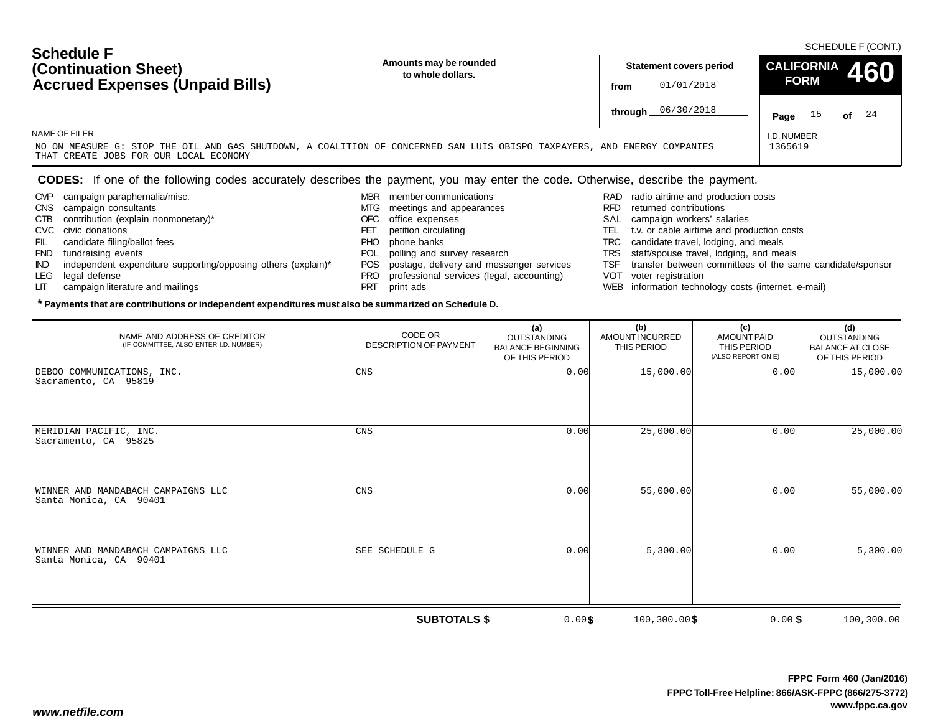| <b>Schedule F</b><br>(Continuation Sheet)<br><b>Accrued Expenses (Unpaid Bills)</b>                                                                                | Amounts may be rounded<br>to whole dollars. | Statement covers period<br>01/01/2018<br>from | CALIFORNIA 460<br><b>FORM</b> | SCHEDULE F (CONT.) |
|--------------------------------------------------------------------------------------------------------------------------------------------------------------------|---------------------------------------------|-----------------------------------------------|-------------------------------|--------------------|
|                                                                                                                                                                    |                                             | through 06/30/2018                            | Page                          | 24<br>of           |
| NAME OF FILER                                                                                                                                                      |                                             |                                               | I.D. NUMBER                   |                    |
| NO ON MEASURE G: STOP THE OIL AND GAS SHUTDOWN, A COALITION OF CONCERNED SAN LUIS OBISPO TAXPAYERS, AND ENERGY COMPANIES<br>THAT CREATE JOBS FOR OUR LOCAL ECONOMY |                                             |                                               | 1365619                       |                    |

### **CODES:** If one of the following codes accurately describes the payment, you may enter the code. Otherwise, describe the payment.

CMP campaign paraphernalia/misc.

CTB contribution (explain nonmonetary)\*

IND independent expenditure supporting/opposing others (explain)\*

CNS campaign consultants

 FIL candidate filing/ballot fees FND fundraising events

LIT campaign literature and mailings

CVC civic donations

LEG legal defense

- MBR member communications
	- MTG meetings and appearances
	- OFC office expenses
	- PET petition circulating
	- PHO phone banks
	- POL polling and survey research
	- POS postage, delivery and messenger services
	- PRO professional services (legal, accounting)
	- PRT print ads

- RAD radio airtime and production costs
- RFD returned contributions
- SAL campaign workers' salaries
- TEL t.v. or cable airtime and production costs
- TRC candidate travel, lodging, and meals
- TRS staff/spouse travel, lodging, and meals
- TSF transfer between committees of the same candidate/sponsor
- VOT voter registration
- WEB information technology costs (internet, e-mail)

| NAME AND ADDRESS OF CREDITOR<br>(IF COMMITTEE, ALSO ENTER I.D. NUMBER) | CODE OR<br><b>DESCRIPTION OF PAYMENT</b> | (a)<br><b>OUTSTANDING</b><br><b>BALANCE BEGINNING</b><br>OF THIS PERIOD | (b)<br>AMOUNT INCURRED<br>THIS PERIOD | (c)<br><b>AMOUNT PAID</b><br>THIS PERIOD<br>(ALSO REPORT ON E) | (d)<br><b>OUTSTANDING</b><br><b>BALANCE AT CLOSE</b><br>OF THIS PERIOD |
|------------------------------------------------------------------------|------------------------------------------|-------------------------------------------------------------------------|---------------------------------------|----------------------------------------------------------------|------------------------------------------------------------------------|
| DEBOO COMMUNICATIONS, INC.<br>Sacramento, CA 95819                     | <b>CNS</b>                               | 0.00                                                                    | 15,000.00                             | 0.00                                                           | 15,000.00                                                              |
| MERIDIAN PACIFIC, INC.<br>Sacramento, CA 95825                         | <b>CNS</b>                               | 0.00                                                                    | 25,000.00                             | 0.00                                                           | 25,000.00                                                              |
| WINNER AND MANDABACH CAMPAIGNS LLC<br>Santa Monica, CA 90401           | <b>CNS</b>                               | 0.00                                                                    | 55,000.00                             | 0.00                                                           | 55,000.00                                                              |
| WINNER AND MANDABACH CAMPAIGNS LLC<br>Santa Monica, CA 90401           | SEE SCHEDULE G                           | 0.00                                                                    | 5,300.00                              | 0.00                                                           | 5,300.00                                                               |
|                                                                        | <b>SUBTOTALS \$</b>                      | $0.00$ \$                                                               | $100, 300.00$ \$                      | $0.00$ \$                                                      | 100,300.00                                                             |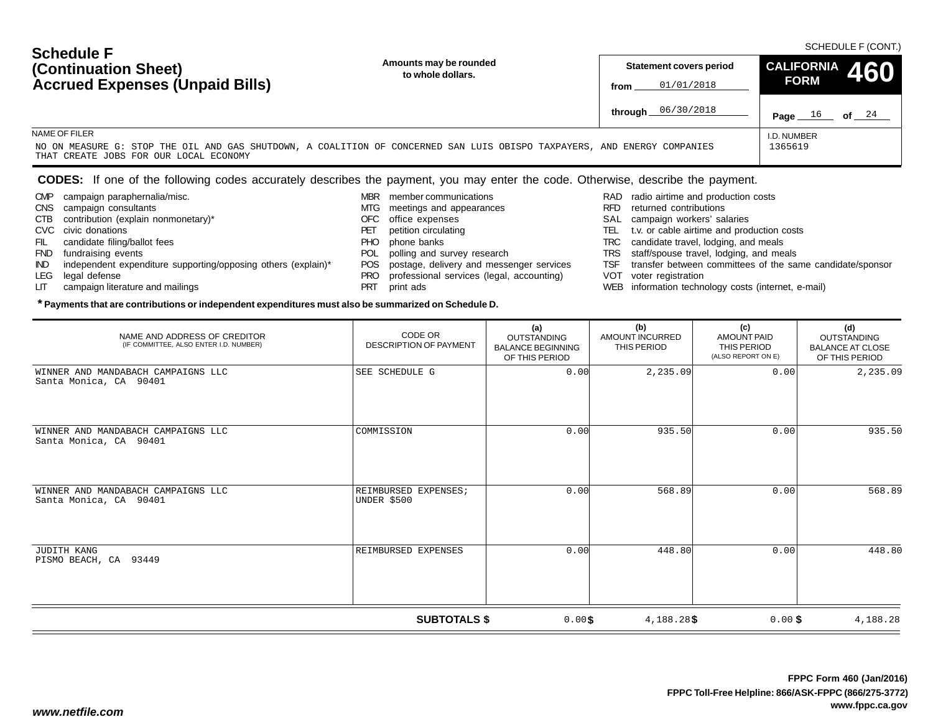| <b>Scriedule F</b><br>(Continuation Sheet)                                                                                                                                          | Amounts may be rounded<br>to whole dollars. | <b>Statement covers period</b> |                    | CALIFORNIA 460 |          |
|-------------------------------------------------------------------------------------------------------------------------------------------------------------------------------------|---------------------------------------------|--------------------------------|--------------------|----------------|----------|
| <b>Accrued Expenses (Unpaid Bills)</b>                                                                                                                                              |                                             | from                           | 01/01/2018         | <b>FORM</b>    |          |
|                                                                                                                                                                                     |                                             |                                | through 06/30/2018 | Page           | 24<br>οf |
| NAME OF FILER<br>NO ON MEASURE G: STOP THE OIL AND GAS SHUTDOWN, A COALITION OF CONCERNED SAN LUIS OBISPO TAXPAYERS, AND ENERGY COMPANIES<br>THAT CREATE JOBS FOR OUR LOCAL ECONOMY | I.D. NUMBER<br>1365619                      |                                |                    |                |          |

### **CODES:** If one of the following codes accurately describes the payment, you may enter the code. Otherwise, describe the payment.

CMP campaign paraphernalia/misc.

LIT campaign literature and mailings

CTB contribution (explain nonmonetary)\*

IND independent expenditure supporting/opposing others (explain)\*

CNS campaign consultants

FIL candidate filing/ballot fees FND fundraising events

CVC civic donations

LEG legal defense

**Schedule F**

- MBR member communications
	- MTG meetings and appearances
	- OFC office expenses
	- PET petition circulating PHO phone banks
	-
	- POL polling and survey research
	- POS postage, delivery and messenger services
	- PRO professional services (legal, accounting)
	- PRT print ads

- RAD radio airtime and production costs
- RFD returned contributions
- SAL campaign workers' salaries
- TEL t.v. or cable airtime and production costs
- TRC candidate travel, lodging, and meals
- TRS staff/spouse travel, lodging, and meals
- TSF transfer between committees of the same candidate/sponsor
- VOT voter registration
- WEB information technology costs (internet, e-mail)

| NAME AND ADDRESS OF CREDITOR<br>(IF COMMITTEE, ALSO ENTER I.D. NUMBER) | CODE OR<br><b>DESCRIPTION OF PAYMENT</b> | (a)<br><b>OUTSTANDING</b><br><b>BALANCE BEGINNING</b><br>OF THIS PERIOD | (b)<br>AMOUNT INCURRED<br>THIS PERIOD | (c)<br><b>AMOUNT PAID</b><br>THIS PERIOD<br>(ALSO REPORT ON E) | (d)<br><b>OUTSTANDING</b><br><b>BALANCE AT CLOSE</b><br>OF THIS PERIOD |
|------------------------------------------------------------------------|------------------------------------------|-------------------------------------------------------------------------|---------------------------------------|----------------------------------------------------------------|------------------------------------------------------------------------|
| WINNER AND MANDABACH CAMPAIGNS LLC<br>Santa Monica, CA 90401           | SEE SCHEDULE G                           | 0.00                                                                    | 2, 235.09                             | 0.00                                                           | 2,235.09                                                               |
| WINNER AND MANDABACH CAMPAIGNS LLC<br>Santa Monica, CA 90401           | COMMISSION                               | 0.00                                                                    | 935.50                                | 0.00                                                           | 935.50                                                                 |
| WINNER AND MANDABACH CAMPAIGNS LLC<br>Santa Monica, CA 90401           | REIMBURSED EXPENSES;<br>UNDER \$500      | 0.00                                                                    | 568.89                                | 0.00                                                           | 568.89                                                                 |
| JUDITH KANG<br>PISMO BEACH, CA 93449                                   | REIMBURSED EXPENSES                      | 0.00                                                                    | 448.80                                | 0.00                                                           | 448.80                                                                 |
|                                                                        | <b>SUBTOTALS \$</b>                      | 0.00\$                                                                  | $4,188.28$ \$                         | $0.00$ \$                                                      | 4,188.28                                                               |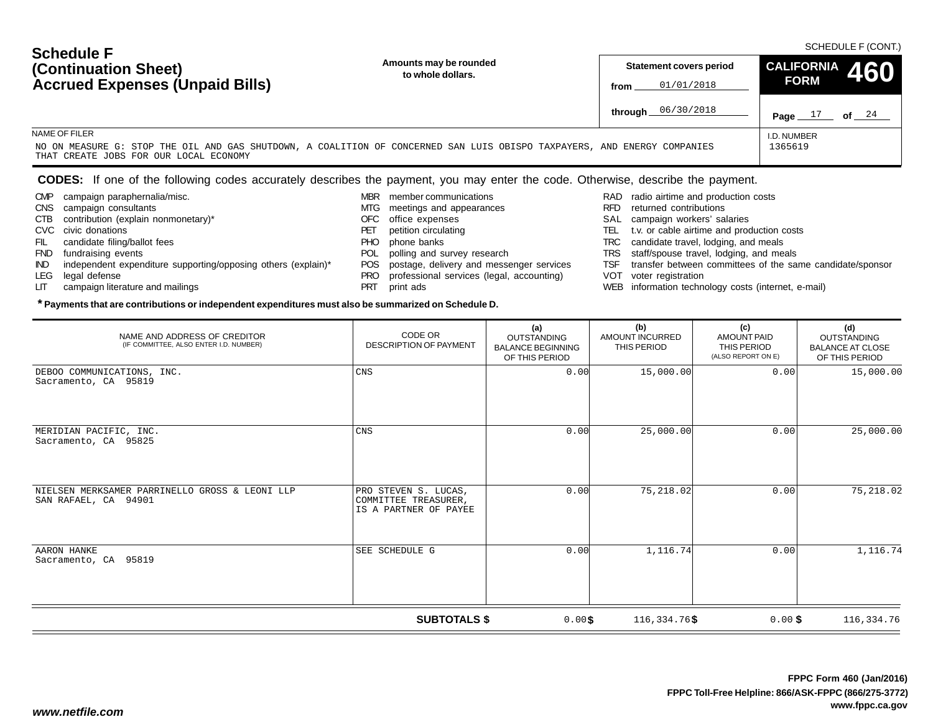| <b>Schedule F</b><br>(Continuation Sheet)<br><b>Accrued Expenses (Unpaid Bills)</b>                                                                                | Amounts may be rounded<br>to whole dollars. | Statement covers period<br>01/01/2018<br>from | CALIFORNIA 460<br><b>FORM</b> | SCHEDULE F (CONT.) |
|--------------------------------------------------------------------------------------------------------------------------------------------------------------------|---------------------------------------------|-----------------------------------------------|-------------------------------|--------------------|
|                                                                                                                                                                    |                                             | through 06/30/2018                            | Page                          | 24<br>of           |
| NAME OF FILER                                                                                                                                                      |                                             |                                               | I.D. NUMBER                   |                    |
| NO ON MEASURE G: STOP THE OIL AND GAS SHUTDOWN, A COALITION OF CONCERNED SAN LUIS OBISPO TAXPAYERS, AND ENERGY COMPANIES<br>THAT CREATE JOBS FOR OUR LOCAL ECONOMY |                                             |                                               | 1365619                       |                    |

### **CODES:** If one of the following codes accurately describes the payment, you may enter the code. Otherwise, describe the payment.

CMP campaign paraphernalia/misc.

CTB contribution (explain nonmonetary)\*

IND independent expenditure supporting/opposing others (explain)\*

CNS campaign consultants

 FIL candidate filing/ballot fees FND fundraising events

LIT campaign literature and mailings

CVC civic donations

LEG legal defense

- MBR member communications
	- MTG meetings and appearances
	- OFC office expenses
	- PET petition circulating
	- PHO phone banks
	- POL polling and survey research
	- POS postage, delivery and messenger services
	- PRO professional services (legal, accounting)
	- PRT print ads

- RAD radio airtime and production costs
- RFD returned contributions
- SAL campaign workers' salaries
- TEL t.v. or cable airtime and production costs
- TRC candidate travel, lodging, and meals
- TRS staff/spouse travel, lodging, and meals
- TSF transfer between committees of the same candidate/sponsor
- VOT voter registration
- WEB information technology costs (internet, e-mail)

| NAME AND ADDRESS OF CREDITOR<br>(IF COMMITTEE, ALSO ENTER I.D. NUMBER) | CODE OR<br><b>DESCRIPTION OF PAYMENT</b>                              | (a)<br><b>OUTSTANDING</b><br><b>BALANCE BEGINNING</b><br>OF THIS PERIOD | (b)<br><b>AMOUNT INCURRED</b><br>THIS PERIOD | (c)<br><b>AMOUNT PAID</b><br>THIS PERIOD<br>(ALSO REPORT ON E) | (d)<br><b>OUTSTANDING</b><br><b>BALANCE AT CLOSE</b><br>OF THIS PERIOD |
|------------------------------------------------------------------------|-----------------------------------------------------------------------|-------------------------------------------------------------------------|----------------------------------------------|----------------------------------------------------------------|------------------------------------------------------------------------|
| DEBOO COMMUNICATIONS, INC.<br>Sacramento, CA 95819                     | CNS                                                                   | 0.00                                                                    | 15,000.00                                    | 0.00                                                           | 15,000.00                                                              |
| MERIDIAN PACIFIC, INC.<br>Sacramento, CA 95825                         | CNS                                                                   | 0.00                                                                    | 25,000.00                                    | 0.00                                                           | 25,000.00                                                              |
| NIELSEN MERKSAMER PARRINELLO GROSS & LEONI LLP<br>SAN RAFAEL, CA 94901 | PRO STEVEN S. LUCAS,<br>COMMITTEE TREASURER,<br>IS A PARTNER OF PAYEE | 0.00                                                                    | 75,218.02                                    | 0.00                                                           | 75,218.02                                                              |
| AARON HANKE<br>Sacramento, CA 95819                                    | SEE SCHEDULE G                                                        | 0.00                                                                    | 1,116.74                                     | 0.00                                                           | 1,116.74                                                               |
|                                                                        | <b>SUBTOTALS \$</b>                                                   | 0.00\$                                                                  | $116,334.76$ \$                              | $0.00$ \$                                                      | 116,334.76                                                             |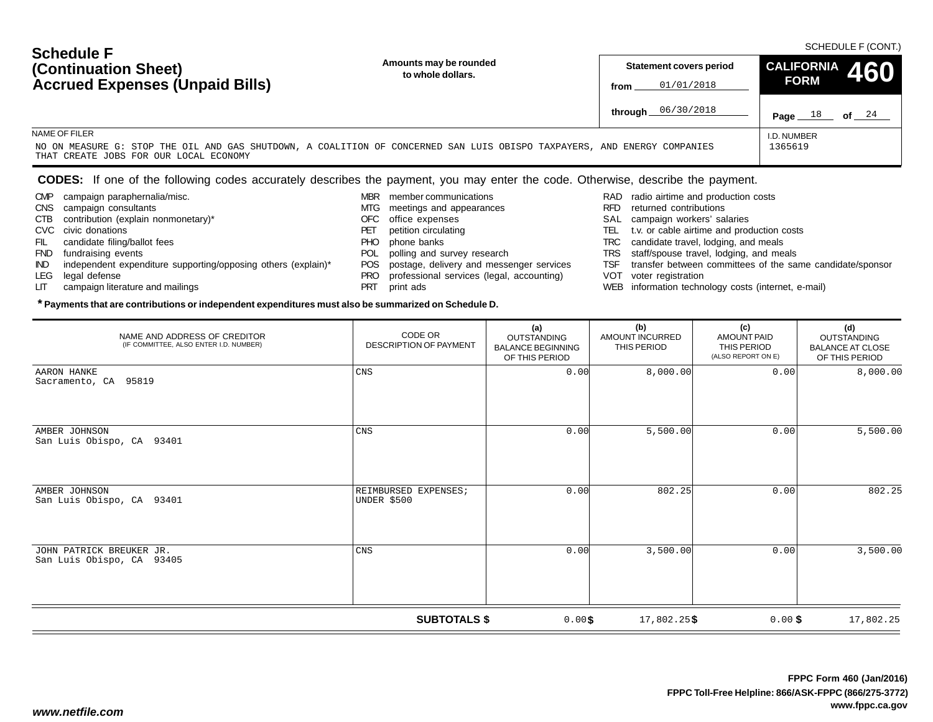| <b>OUTLAND L</b><br>(Continuation Sheet)<br><b>Accrued Expenses (Unpaid Bills)</b>                                                                                                  | Amounts may be rounded<br>to whole dollars. | <b>Statement covers period</b><br>01/01/2018<br>from |                      | CALIFORNIA 460<br><b>FORM</b> |          |
|-------------------------------------------------------------------------------------------------------------------------------------------------------------------------------------|---------------------------------------------|------------------------------------------------------|----------------------|-------------------------------|----------|
|                                                                                                                                                                                     |                                             |                                                      | through $06/30/2018$ | 18<br>Page                    | 24<br>of |
| NAME OF FILER<br>NO ON MEASURE G: STOP THE OIL AND GAS SHUTDOWN, A COALITION OF CONCERNED SAN LUIS OBISPO TAXPAYERS, AND ENERGY COMPANIES<br>THAT CREATE JOBS FOR OUR LOCAL ECONOMY |                                             |                                                      |                      | I.D. NUMBER<br>1365619        |          |

### **CODES:** If one of the following codes accurately describes the payment, you may enter the code. Otherwise, describe the payment.

CMP campaign paraphernalia/misc.

CTB contribution (explain nonmonetary)\*

IND independent expenditure supporting/opposing others (explain)\*

CNS campaign consultants

 FIL candidate filing/ballot fees FND fundraising events

LIT campaign literature and mailings

CVC civic donations

LEG legal defense

**Schedule F**

- MBR member communications
	- MTG meetings and appearances
	- OFC office expenses
	- PET petition circulating PHO phone banks
	-
	- POL polling and survey research
	- POS postage, delivery and messenger services
	- PRO professional services (legal, accounting)
	- PRT print ads

- RAD radio airtime and production costs
- RFD returned contributions
- SAL campaign workers' salaries
- TEL t.v. or cable airtime and production costs
- TRC candidate travel, lodging, and meals
- TRS staff/spouse travel, lodging, and meals
- TSF transfer between committees of the same candidate/sponsor
- VOT voter registration
- WEB information technology costs (internet, e-mail)

| NAME AND ADDRESS OF CREDITOR<br>(IF COMMITTEE, ALSO ENTER I.D. NUMBER) | CODE OR<br><b>DESCRIPTION OF PAYMENT</b> | (a)<br><b>OUTSTANDING</b><br><b>BALANCE BEGINNING</b><br>OF THIS PERIOD | (b)<br>AMOUNT INCURRED<br>THIS PERIOD | (c)<br><b>AMOUNT PAID</b><br>THIS PERIOD<br>(ALSO REPORT ON E) | (d)<br><b>OUTSTANDING</b><br><b>BALANCE AT CLOSE</b><br>OF THIS PERIOD |
|------------------------------------------------------------------------|------------------------------------------|-------------------------------------------------------------------------|---------------------------------------|----------------------------------------------------------------|------------------------------------------------------------------------|
| AARON HANKE<br>Sacramento, CA 95819                                    | CNS                                      | 0.00                                                                    | 8,000.00                              | 0.00                                                           | 8,000.00                                                               |
| AMBER JOHNSON<br>San Luis Obispo, CA 93401                             | $\mathop{\rm CNS}$                       | 0.00                                                                    | 5,500.00                              | 0.00                                                           | 5,500.00                                                               |
| AMBER JOHNSON<br>San Luis Obispo, CA 93401                             | REIMBURSED EXPENSES;<br>UNDER \$500      | 0.00                                                                    | 802.25                                | 0.00                                                           | 802.25                                                                 |
| JOHN PATRICK BREUKER JR.<br>San Luis Obispo, CA 93405                  | $\mathop{\rm CNS}$                       | 0.00                                                                    | 3,500.00                              | 0.00                                                           | 3,500.00                                                               |
| <b>SUBTOTALS \$</b><br>0.00\$<br>17,802.25\$<br>17,802.25<br>$0.00$ \$ |                                          |                                                                         |                                       |                                                                |                                                                        |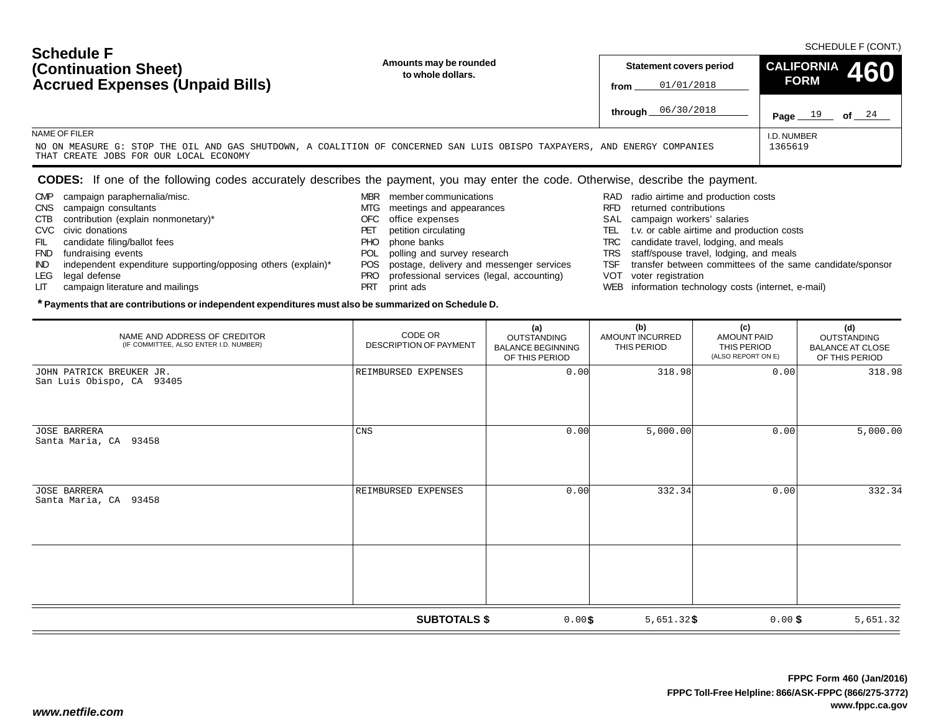| <b>OUTRANE L</b><br>Amounts may be rounded<br>(Continuation Sheet)<br>to whole dollars.<br><b>Accrued Expenses (Unpaid Bills)</b>                                                   | <b>CALIFORNIA</b><br>460<br><b>Statement covers period</b><br><b>FORM</b><br>01/01/2018<br>from |  |
|-------------------------------------------------------------------------------------------------------------------------------------------------------------------------------------|-------------------------------------------------------------------------------------------------|--|
|                                                                                                                                                                                     | <b>through</b> $06/30/2018$<br>24<br>οf<br>Page                                                 |  |
| NAME OF FILER<br>NO ON MEASURE G: STOP THE OIL AND GAS SHUTDOWN, A COALITION OF CONCERNED SAN LUIS OBISPO TAXPAYERS, AND ENERGY COMPANIES<br>THAT CREATE JOBS FOR OUR LOCAL ECONOMY | I.D. NUMBER<br>1365619                                                                          |  |

### **CODES:** If one of the following codes accurately describes the payment, you may enter the code. Otherwise, describe the payment.

CMP campaign paraphernalia/misc.

CTB contribution (explain nonmonetary)\*

CNS campaign consultants

FIL candidate filing/ballot fees

LIT campaign literature and mailings

MBR member communications

**\* Payments that are contributions or independent expenditures must also be summarized on Schedule D.**

- MTG meetings and appearances
- OFC office expenses
- PET petition circulating
- PHO phone banks
- 
- 
- 
- PRT print ads
- RAD radio airtime and production costs
- RFD returned contributions
- SAL campaign workers' salaries
- TEL t.v. or cable airtime and production costs
- TRC candidate travel, lodging, and meals
- TRS staff/spouse travel, lodging, and meals
- TSF transfer between committees of the same candidate/sponsor
- VOT voter registration
- WEB information technology costs (internet, e-mail)

| NAME AND ADDRESS OF CREDITOR<br>(IF COMMITTEE, ALSO ENTER I.D. NUMBER) | CODE OR<br><b>DESCRIPTION OF PAYMENT</b> | (a)<br><b>OUTSTANDING</b><br><b>BALANCE BEGINNING</b><br>OF THIS PERIOD | (b)<br><b>AMOUNT INCURRED</b><br>THIS PERIOD | (c)<br><b>AMOUNT PAID</b><br>THIS PERIOD<br>(ALSO REPORT ON E) | (d)<br>OUTSTANDING<br><b>BALANCE AT CLOSE</b><br>OF THIS PERIOD |
|------------------------------------------------------------------------|------------------------------------------|-------------------------------------------------------------------------|----------------------------------------------|----------------------------------------------------------------|-----------------------------------------------------------------|
| JOHN PATRICK BREUKER JR.<br>San Luis Obispo, CA 93405                  | REIMBURSED EXPENSES                      | 0.00                                                                    | 318.98                                       | 0.00                                                           | 318.98                                                          |
| <b>JOSE BARRERA</b><br>Santa Maria, CA 93458                           | CNS                                      | 0.00                                                                    | 5,000.00                                     | 0.00                                                           | 5,000.00                                                        |
| JOSE BARRERA<br>Santa Maria, CA 93458                                  | REIMBURSED EXPENSES                      | 0.00                                                                    | 332.34                                       | 0.00                                                           | 332.34                                                          |
|                                                                        | <b>SUBTOTALS \$</b>                      | $0.00$ \$                                                               | $5,651.32$ \$                                | $0.00$ \$                                                      | 5,651.32                                                        |

- POL polling and survey research
- POS postage, delivery and messenger services
- PRO professional services (legal, accounting)
- FND fundraising events IND independent expenditure supporting/opposing others (explain)\* LEG legal defense

CVC civic donations

**Schedule F**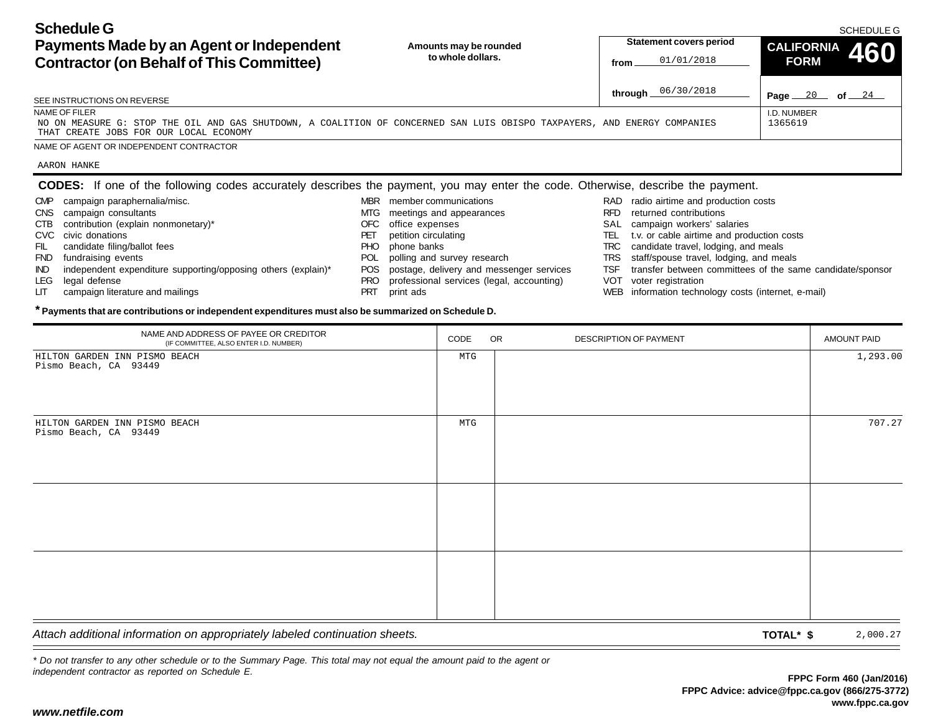**Schedule GPayments Made by an Agent or Independent Contractor (on Behalf of This Committee)** Page <u>20</u> of 24 **Amounts may be rounded to whole dollars.**SCHEDULE GI.D. NUMBERSEE INSTRUCTIONS ON REVERSENAME OF FILERNAME OF AGENT OR INDEPENDENT CONTRACTOR**Statement covers period fromthrough** 06/30/2018**CALIFORNIA 460 FORMCODES:** If one of the following codes accurately describes the payment, you may enter the code. Otherwise, describe the payment. 01/01/2018NO ON MEASURE G: STOP THE OIL AND GAS SHUTDOWN, A COALITION OF CONCERNED SAN LUIS OBISPO TAXPAYERS, AND ENERGY COMPANIESTHAT CREATE JOBS FOR OUR LOCAL ECONOMY1365619AARON HANKE

RAD radio airtime and production costs RFD returned contributionsSAL campaign workers' salaries TEL t.v. or cable airtime and production costs TRC candidate travel, lodging, and meals TRS staff/spouse travel, lodging, and meals TSF transfer between committees of the same candidate/sponsor VOT voter registration WEB information technology costs (internet, e-mail) MBR member communications MTG meetings and appearances OFC office expenses PET petition circulating PHO phone banks POL polling and survey research POS postage, delivery and messenger services PRO professional services (legal, accounting) PRT print ads CMP campaign paraphernalia/misc. CNS campaign consultants CTB contribution (explain nonmonetary)\* CVC civic donationsFIL candidate filing/ballot fees FND fundraising events IND independent expenditure supporting/opposing others (explain)\* LEG legal defense LIT campaign literature and mailings

### **\* Payments that are contributions or independent expenditures must also be summarized on Schedule D.**

| NAME AND ADDRESS OF PAYEE OR CREDITOR<br>(IF COMMITTEE, ALSO ENTER I.D. NUMBER) | CODE | OR<br>DESCRIPTION OF PAYMENT | AMOUNT PAID |
|---------------------------------------------------------------------------------|------|------------------------------|-------------|
| HILTON GARDEN INN PISMO BEACH<br>Pismo Beach, CA 93449                          | MTG  |                              | 1,293.00    |
| HILTON GARDEN INN PISMO BEACH<br>Pismo Beach, CA 93449                          | MTG  |                              | 707.27      |
|                                                                                 |      |                              |             |
|                                                                                 |      |                              |             |
| Attach additional information on appropriately labeled continuation sheets.     |      | TOTAL* \$                    | 2,000.27    |

*\* Do not transfer to any other schedule or to the Summary Page. This total may not equal the amount paid to the agent or independent contractor as reported on Schedule E.*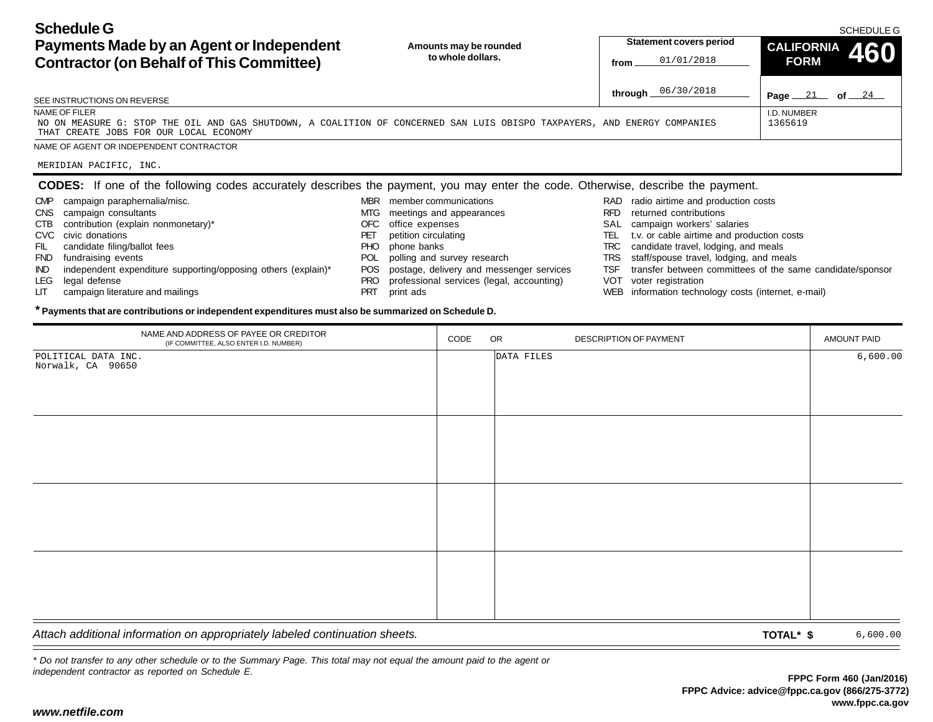**Schedule GPayments Made by an Agent or Independent Contractor (on Behalf of This Committee)** Page <u>21</u> of 24 **Amounts may be rounded to whole dollars.**SCHEDULE GI.D. NUMBERSEE INSTRUCTIONS ON REVERSENAME OF FILERNAME OF AGENT OR INDEPENDENT CONTRACTOR**Statement covers period fromthrough** 06/30/2018**CALIFORNIA 460 FORMCODES:** If one of the following codes accurately describes the payment, you may enter the code. Otherwise, describe the payment. RAD radio airtime and production costs MBR member communications CMP campaign paraphernalia/misc. 01/01/2018NO ON MEASURE G: STOP THE OIL AND GAS SHUTDOWN, A COALITION OF CONCERNED SAN LUIS OBISPO TAXPAYERS, AND ENERGY COMPANIESTHAT CREATE JOBS FOR OUR LOCAL ECONOMY1365619MERIDIAN PACIFIC, INC.

- CNS campaign consultants CTB contribution (explain nonmonetary)\*
	- CVC civic donations
	- FIL candidate filing/ballot fees
	- FND fundraising events
	- IND independent expenditure supporting/opposing others (explain)\*
	- LEG legal defense
	- LIT campaign literature and mailings
- 
- MTG meetings and appearances
- OFC office expenses
- PET petition circulating
- PHO phone banks
- POL polling and survey research
- POS postage, delivery and messenger services
- PRO professional services (legal, accounting)
- PRT print ads
- 
- RFD returned contributions
- SAL campaign workers' salaries
- TEL t.v. or cable airtime and production costs
- TRC candidate travel, lodging, and meals
- TRS staff/spouse travel, lodging, and meals
- TSF transfer between committees of the same candidate/sponsor
- VOT voter registration
- WEB information technology costs (internet, e-mail)

#### **\* Payments that are contributions or independent expenditures must also be summarized on Schedule D.**

| NAME AND ADDRESS OF PAYEE OR CREDITOR<br>(IF COMMITTEE, ALSO ENTER I.D. NUMBER) | CODE | OR         | DESCRIPTION OF PAYMENT | AMOUNT PAID |
|---------------------------------------------------------------------------------|------|------------|------------------------|-------------|
| POLITICAL DATA INC.<br>Norwalk, CA 90650                                        |      | DATA FILES |                        | 6,600.00    |
|                                                                                 |      |            |                        |             |
|                                                                                 |      |            |                        |             |
|                                                                                 |      |            |                        |             |
|                                                                                 |      |            |                        |             |
|                                                                                 |      |            |                        |             |
|                                                                                 |      |            |                        |             |
|                                                                                 |      |            |                        |             |
|                                                                                 |      |            |                        |             |
|                                                                                 |      |            |                        |             |
|                                                                                 |      |            |                        |             |
|                                                                                 |      |            |                        |             |
| Attach additional information on convenietal ulabeled continuation aboate       |      |            | $T^*$                  | $   -$      |

*Attach additional information on appropriately labeled continuation sheets.* **TOTAL\* \$**

6,600.00

*\* Do not transfer to any other schedule or to the Summary Page. This total may not equal the amount paid to the agent or independent contractor as reported on Schedule E.*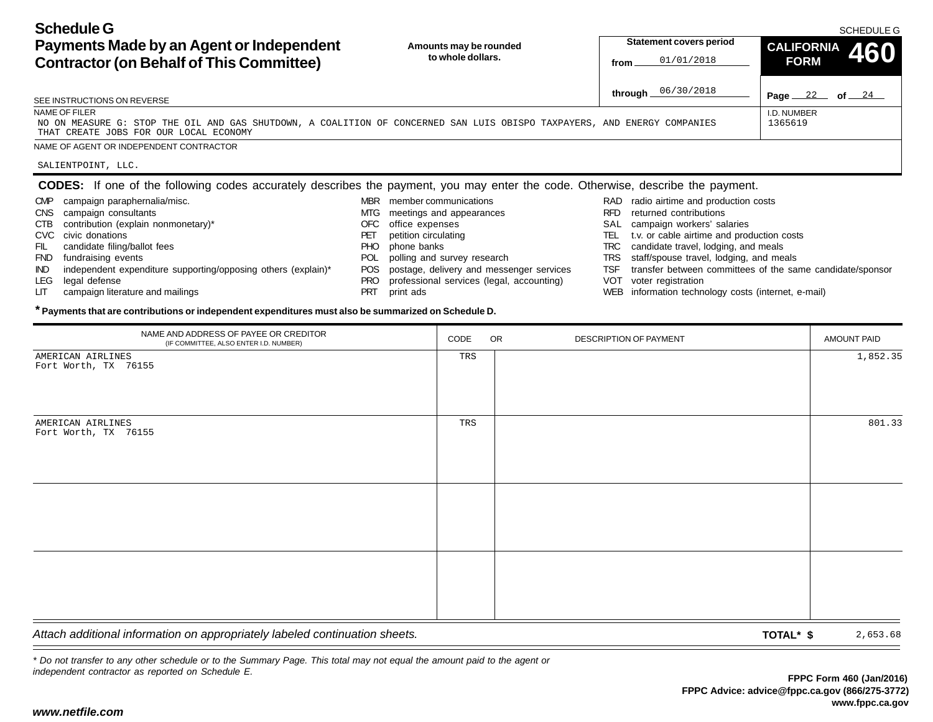**Schedule GPayments Made by an Agent or Independent Contractor (on Behalf of This Committee)** Page <u>22</u> of 24 **Amounts may be rounded to whole dollars.**SCHEDULE GI.D. NUMBERSEE INSTRUCTIONS ON REVERSENAME OF FILERNAME OF AGENT OR INDEPENDENT CONTRACTOR**Statement covers period fromthrough** 06/30/2018**CALIFORNIA 460 FORM**01/01/2018NO ON MEASURE G: STOP THE OIL AND GAS SHUTDOWN, A COALITION OF CONCERNED SAN LUIS OBISPO TAXPAYERS, AND ENERGY COMPANIESTHAT CREATE JOBS FOR OUR LOCAL ECONOMY1365619SALIENTPOINT, LLC.

RFD returned contributionsMBR member communications MTG meetings and appearances OFC office expenses CNS campaign consultants CTB contribution (explain nonmonetary)\*

- CVC civic donations
- FIL candidate filing/ballot fees

CMP campaign paraphernalia/misc.

- FND fundraising events
- IND independent expenditure supporting/opposing others (explain)\*
- LEG legal defense
- LIT campaign literature and mailings
- PET petition circulating
- PHO phone banks

**CODES:** If one of the following codes accurately describes the payment, you may enter the code. Otherwise, describe the payment.

- POL polling and survey research
- POS postage, delivery and messenger services
- PRO professional services (legal, accounting)
- PRT print ads
- RAD radio airtime and production costs
- 
- SAL campaign workers' salaries
- TEL t.v. or cable airtime and production costs
- TRC candidate travel, lodging, and meals
- TRS staff/spouse travel, lodging, and meals
- TSF transfer between committees of the same candidate/sponsor
- VOT voter registration
- WEB information technology costs (internet, e-mail)

#### **\* Payments that are contributions or independent expenditures must also be summarized on Schedule D.**

| NAME AND ADDRESS OF PAYEE OR CREDITOR<br>(IF COMMITTEE, ALSO ENTER I.D. NUMBER) | CODE | OR | DESCRIPTION OF PAYMENT | AMOUNT PAID |
|---------------------------------------------------------------------------------|------|----|------------------------|-------------|
| AMERICAN AIRLINES<br>Fort Worth, TX 76155                                       | TRS  |    |                        | 1,852.35    |
| AMERICAN AIRLINES<br>Fort Worth, TX 76155                                       | TRS  |    |                        | 801.33      |
|                                                                                 |      |    |                        |             |
|                                                                                 |      |    |                        |             |
| Attach additional information on appropriately labeled continuation sheets.     |      |    | TOTAL* \$              | 2,653.68    |

*\* Do not transfer to any other schedule or to the Summary Page. This total may not equal the amount paid to the agent or independent contractor as reported on Schedule E.*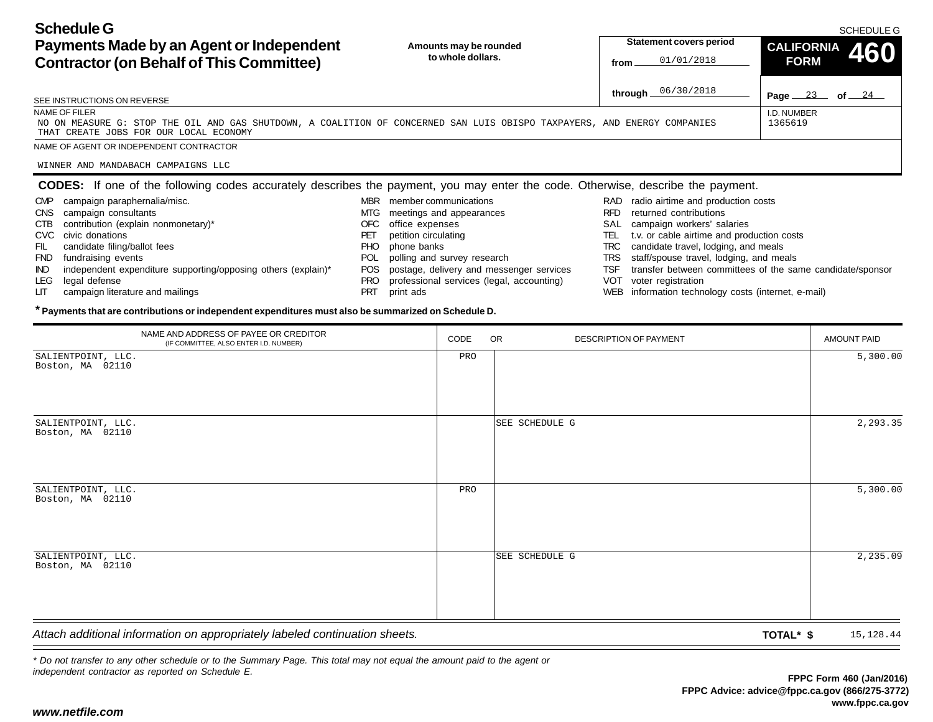**Schedule GPayments Made by an Agent or Independent Contractor (on Behalf of This Committee)** Page <u>23</u> of 24 **Amounts may be rounded to whole dollars.**I.D. NUMBERSEE INSTRUCTIONS ON REVERSENAME OF FILERNAME OF AGENT OR INDEPENDENT CONTRACTOR**Statement covers period fromthrough** 06/30/2018**CALIFORNIA 460 FORM**01/01/2018NO ON MEASURE G: STOP THE OIL AND GAS SHUTDOWN, A COALITION OF CONCERNED SAN LUIS OBISPO TAXPAYERS, AND ENERGY COMPANIESTHAT CREATE JOBS FOR OUR LOCAL ECONOMY1365619

WINNER AND MANDABACH CAMPAIGNS LLC

# **CODES:** If one of the following codes accurately describes the payment, you may enter the code. Otherwise, describe the payment.

RAD radio airtime and production costs RFD returned contributionsSAL campaign workers' salaries TEL t.v. or cable airtime and production costs TRC candidate travel, lodging, and meals TRS staff/spouse travel, lodging, and meals TSF transfer between committees of the same candidate/sponsor VOT voter registration WEB information technology costs (internet, e-mail) MBR member communications MTG meetings and appearances OFC office expenses PET petition circulating PHO phone banks POL polling and survey research POS postage, delivery and messenger services PRO professional services (legal, accounting) PRT print ads CMP campaign paraphernalia/misc. CNS campaign consultants CTB contribution (explain nonmonetary)\* CVC civic donationsFIL candidate filing/ballot fees FND fundraising events IND independent expenditure supporting/opposing others (explain)\* LEG legal defense LIT campaign literature and mailings

### **\* Payments that are contributions or independent expenditures must also be summarized on Schedule D.**

| NAME AND ADDRESS OF PAYEE OR CREDITOR<br>(IF COMMITTEE, ALSO ENTER I.D. NUMBER) | CODE | <b>OR</b><br>DESCRIPTION OF PAYMENT | AMOUNT PAID |
|---------------------------------------------------------------------------------|------|-------------------------------------|-------------|
| SALIENTPOINT, LLC.<br>Boston, MA 02110                                          | PRO  |                                     | 5,300.00    |
| SALIENTPOINT, LLC.<br>Boston, MA 02110                                          |      | SEE SCHEDULE G                      | 2,293.35    |
| SALIENTPOINT, LLC.<br>Boston, MA 02110                                          | PRO  |                                     | 5,300.00    |
| SALIENTPOINT, LLC.<br>Boston, MA 02110                                          |      | SEE SCHEDULE G                      | 2,235.09    |
| Attach additional information on appropriately labeled continuation sheets.     |      | TOTAL* \$                           | 15,128.44   |

*\* Do not transfer to any other schedule or to the Summary Page. This total may not equal the amount paid to the agent or independent contractor as reported on Schedule E.*

SCHEDULE G